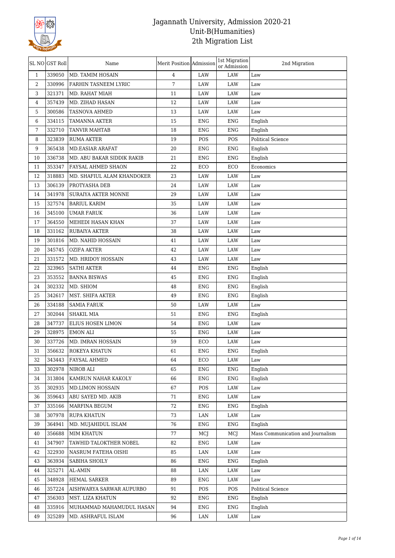

|                | SL NO GST Roll | Name                       | Merit Position Admission |            | 1st Migration<br>or Admission | 2nd Migration                     |
|----------------|----------------|----------------------------|--------------------------|------------|-------------------------------|-----------------------------------|
| $\mathbf{1}$   | 339050         | MD. TAMIM HOSAIN           | 4                        | LAW        | LAW                           | Law                               |
| 2              | 330996         | FARHIN TASNEEM LYRIC       | $\overline{7}$           | LAW        | LAW                           | Law                               |
| 3              | 321371         | MD. RAHAT MIAH             | 11                       | LAW        | LAW                           | $\operatorname{Law}$              |
| $\overline{4}$ | 357439         | MD. ZIHAD HASAN            | 12                       | LAW        | LAW                           | Law                               |
| 5              | 300586         | TASNOVA AHMED              | 13                       | LAW        | LAW                           | Law                               |
| 6              | 334115         | <b>TAMANNA AKTER</b>       | 15                       | <b>ENG</b> | <b>ENG</b>                    | English                           |
| 7              | 332710         | <b>TANVIR MAHTAB</b>       | 18                       | <b>ENG</b> | <b>ENG</b>                    | English                           |
| 8              | 323839         | <b>RUMA AKTER</b>          | 19                       | POS        | POS                           | Political Science                 |
| 9              | 365438         | <b>MD.EASIAR ARAFAT</b>    | 20                       | ENG        | <b>ENG</b>                    | English                           |
| 10             | 336738         | MD. ABU BAKAR SIDDIK RAKIB | 21                       | <b>ENG</b> | <b>ENG</b>                    | English                           |
| 11             | 353347         | FAYSAL AHMED SHAON         | 22                       | ECO        | ECO                           | Economics                         |
| 12             | 318883         | MD. SHAFIUL ALAM KHANDOKER | 23                       | LAW        | LAW                           | Law                               |
| 13             | 306139         | PROTYASHA DEB              | 24                       | LAW        | LAW                           | Law                               |
| 14             | 341978         | SURAIYA AKTER MONNE        | 29                       | LAW        | LAW                           | Law                               |
| 15             | 327574         | <b>BARIUL KARIM</b>        | 35                       | LAW        | LAW                           | Law                               |
| 16             | 345100         | <b>UMAR FARUK</b>          | 36                       | LAW        | LAW                           | Law                               |
| 17             | 364550         | MEHEDI HASAN KHAN          | 37                       | LAW        | LAW                           | Law                               |
| 18             | 331162         | <b>RUBAIYA AKTER</b>       | 38                       | LAW        | LAW                           | Law                               |
| 19             | 301816         | MD. NAHID HOSSAIN          | 41                       | LAW        | LAW                           | Law                               |
| 20             | 345745         | <b>OZIFA AKTER</b>         | 42                       | LAW        | LAW                           | Law                               |
| 21             | 331572         | MD. HRIDOY HOSSAIN         | 43                       | LAW        | LAW                           | Law                               |
| 22             | 323965         | <b>SATHI AKTER</b>         | 44                       | <b>ENG</b> | <b>ENG</b>                    | English                           |
| 23             | 353552         | <b>BANNA BISWAS</b>        | 45                       | <b>ENG</b> | <b>ENG</b>                    | English                           |
| 24             | 302332         | MD. SHIOM                  | 48                       | <b>ENG</b> | <b>ENG</b>                    | English                           |
| 25             | 342617         | MST. SHIFA AKTER           | 49                       | <b>ENG</b> | <b>ENG</b>                    | English                           |
| 26             | 334188         | <b>SAMIA FARUK</b>         | 50                       | LAW        | LAW                           | Law                               |
| 27             | 302044         | SHAKIL MIA                 | 51                       | <b>ENG</b> | <b>ENG</b>                    | English                           |
| 28             | 347737         | ELIUS HOSEN LIMON          | 54                       | <b>ENG</b> | LAW                           | Law                               |
| 29             | 328975         | <b>EMON ALI</b>            | 55                       | <b>ENG</b> | LAW                           | Law                               |
| 30             | 337726         | MD. IMRAN HOSSAIN          | 59                       | ECO        | LAW                           | Law                               |
| 31             | 356632         | ROKEYA KHATUN              | 61                       | ENG        | ENG                           | English                           |
| 32             | 343443         | FAYSAL AHMED               | 64                       | ECO        | LAW                           | Law                               |
| 33             | 302978         | NIROB ALI                  | 65                       | <b>ENG</b> | <b>ENG</b>                    | English                           |
| 34             | 313804         | KAMRUN NAHAR KAKOLY        | 66                       | ENG        | ENG                           | English                           |
| 35             | 302935         | <b>MD.LIMON HOSSAIN</b>    | 67                       | POS        | LAW                           | Law                               |
| 36             | 359643         | ABU SAYED MD. AKIB         | 71                       | <b>ENG</b> | LAW                           | Law                               |
| 37             | 335166         | MARFINA BEGUM              | 72                       | ENG        | ENG                           | English                           |
| 38             | 307978         | <b>RUPA KHATUN</b>         | 73                       | LAN        | LAW                           | Law                               |
| 39             | 364941         | MD. MUJAHIDUL ISLAM        | 76                       | ENG        | <b>ENG</b>                    | English                           |
| 40             | 356688         | MIM KHATUN                 | 77                       | MCJ        | MCJ                           | Mass Communication and Journalism |
| 41             | 347907         | TAWHID TALOKTHER NOBEL     | 82                       | <b>ENG</b> | LAW                           | Law                               |
| 42             | 322930         | NASRUM FATEHA OISHI        | 85                       | LAN        | LAW                           | $_{\mbox{\footnotesize{Law}}}$    |
| 43             | 363934         | SABIHA SHOILY              | 86                       | ENG        | <b>ENG</b>                    | English                           |
| 44             | 325271         | AL-AMIN                    | 88                       | LAN        | LAW                           | Law                               |
| 45             | 348928         | <b>HEMAL SARKER</b>        | 89                       | ENG        | LAW                           | Law                               |
| 46             | 357224         | AISHWARYA SARWAR AUPURBO   | 91                       | POS        | POS                           | <b>Political Science</b>          |
| 47             | 356303         | MST. LIZA KHATUN           | 92                       | ENG        | ENG                           | English                           |
| 48             | 335916         | MUHAMMAD MAHAMUDUL HASAN   | 94                       | ENG        | ENG                           | English                           |
| 49             | 325289         | MD. ASHRAFUL ISLAM         | 96                       | LAN        | LAW                           | Law                               |
|                |                |                            |                          |            |                               |                                   |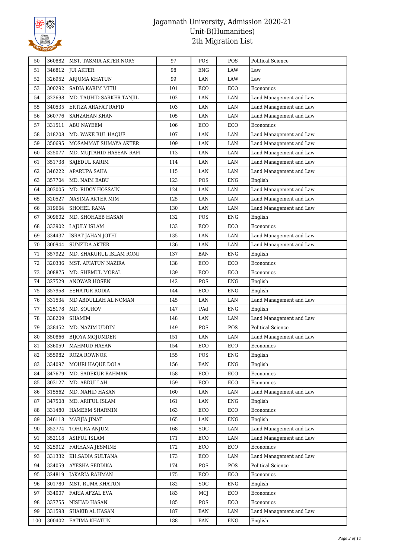

| 50  | 360882 | MST. TASMIA AKTER NORY   | 97  | POS        | POS         | <b>Political Science</b> |
|-----|--------|--------------------------|-----|------------|-------------|--------------------------|
| 51  | 346812 | <b>JUI AKTER</b>         | 98  | <b>ENG</b> | LAW         | Law                      |
| 52  | 326952 | ARJUMA KHATUN            | 99  | LAN        | LAW         | Law                      |
| 53  | 300292 | <b>SADIA KARIM MITU</b>  | 101 | ECO        | ECO         | Economics                |
| 54  | 322698 | MD. TAUHID SARKER TANJIL | 102 | LAN        | LAN         | Land Management and Law  |
| 55  | 340535 | ERTIZA ARAFAT RAFID      | 103 | LAN        | LAN         | Land Management and Law  |
| 56  | 360776 | SAHZAHAN KHAN            | 105 | LAN        | LAN         | Land Management and Law  |
| 57  | 331511 | <b>ABU NAYEEM</b>        | 106 | ECO        | ECO         | Economics                |
| 58  | 318208 | MD. WAKE BUL HAQUE       | 107 | LAN        | LAN         | Land Management and Law  |
| 59  | 350695 | MOSAMMAT SUMAYA AKTER    | 109 | LAN        | LAN         | Land Management and Law  |
| 60  | 325077 | MD. MUJTAHID HASSAN RAFI | 113 | LAN        | LAN         | Land Management and Law  |
| 61  | 351738 | SAJEDUL KARIM            | 114 | LAN        | LAN         | Land Management and Law  |
| 62  | 346222 | APARUPA SAHA             | 115 | LAN        | LAN         | Land Management and Law  |
| 63  | 357704 | MD. NAIM BABU            | 123 | POS        | <b>ENG</b>  | English                  |
| 64  | 303005 | MD. RIDOY HOSSAIN        | 124 | LAN        | $\rm LAN$   | Land Management and Law  |
| 65  | 320527 | NASIMA AKTER MIM         | 125 | LAN        | LAN         | Land Management and Law  |
| 66  | 319664 | SHOHEL RANA              | 130 | LAN        | LAN         | Land Management and Law  |
| 67  | 309602 | MD. SHOHAEB HASAN        | 132 | POS        | ${\rm ENG}$ | English                  |
| 68  | 333902 | LAJULY ISLAM             | 133 | ECO        | ECO         | Economics                |
| 69  | 334437 | <b>ISRAT JAHAN JOTHI</b> | 135 | LAN        | LAN         | Land Management and Law  |
| 70  | 300944 | <b>SUNZIDA AKTER</b>     | 136 | LAN        | LAN         | Land Management and Law  |
| 71  | 357922 | MD. SHAKURUL ISLAM RONI  | 137 | <b>BAN</b> | <b>ENG</b>  | English                  |
| 72  | 320336 | MST. AFIATUN NAZIRA      | 138 | ECO        | ECO         | Economics                |
| 73  | 308875 | MD. SHEMUL MORAL         | 139 | ECO        | ECO         | Economics                |
| 74  | 327529 | <b>ANOWAR HOSEN</b>      | 142 | POS        | <b>ENG</b>  | English                  |
| 75  | 357958 | <b>ESHATUR RODIA</b>     | 144 | ECO        | <b>ENG</b>  | English                  |
| 76  | 331534 | MD ABDULLAH AL NOMAN     | 145 | LAN        | LAN         | Land Management and Law  |
| 77  | 325178 | MD. SOUROV               | 147 | PAd        | <b>ENG</b>  | English                  |
| 78  | 338209 | <b>SHAMIM</b>            | 148 | LAN        | LAN         | Land Management and Law  |
| 79  | 338452 | MD. NAZIM UDDIN          | 149 | POS        | POS         | <b>Political Science</b> |
| 80  | 350866 | <b>BIJOYA MOJUMDER</b>   | 151 | LAN        | LAN         | Land Management and Law  |
| 81  | 336059 | MAHMUD HASAN             | 154 | ECO        | ECO         | Economics                |
| 82  | 355982 | ROZA ROWNOK              | 155 | POS        | ENG         | English                  |
| 83  | 334097 | MOURI HAQUE DOLA         | 156 | <b>BAN</b> | <b>ENG</b>  | English                  |
| 84  | 347679 | MD. SADEKUR RAHMAN       | 158 | ECO        | ECO         | Economics                |
| 85  | 303127 | MD. ABDULLAH             | 159 | ECO        | ECO         | Economics                |
| 86  | 315562 | MD. NAHID HASAN          | 160 | LAN        | LAN         | Land Management and Law  |
| 87  | 347508 | MD. ARIFUL ISLAM         | 161 | LAN        | <b>ENG</b>  | English                  |
| 88  | 331480 | HAMEEM SHARMIN           | 163 | ECO        | ECO         | Economics                |
| 89  | 346118 | MARJIA JINAT             | 165 | LAN        | <b>ENG</b>  | English                  |
| 90  | 352774 | TOHURA ANJUM             | 168 | SOC        | LAN         | Land Management and Law  |
| 91  | 352118 | ASIFUL ISLAM             | 171 | ECO        | LAN         | Land Management and Law  |
| 92  | 325912 | FARHANA JESMINE          | 172 | ECO        | ECO         | Economics                |
| 93  | 331332 | KH.SADIA SULTANA         | 173 | ECO        | LAN         | Land Management and Law  |
| 94  | 334059 | AYESHA SEDDIKA           | 174 | POS        | POS         | Political Science        |
| 95  | 324819 | <b>JAKARIA RAHMAN</b>    | 175 | ECO        | ECO         | Economics                |
| 96  | 301780 | MST. RUMA KHATUN         | 182 | SOC        | <b>ENG</b>  | English                  |
| 97  | 334007 | FARIA AFZAL EVA          | 183 | MCJ        | ECO         | Economics                |
| 98  | 337755 | NISHAD HASAN             | 185 | POS        | ECO         | Economics                |
| 99  | 331598 | SHAKIB AL HASAN          | 187 | BAN        | LAN         | Land Management and Law  |
| 100 | 300402 | FATIMA KHATUN            | 188 | BAN        | ENG         | English                  |
|     |        |                          |     |            |             |                          |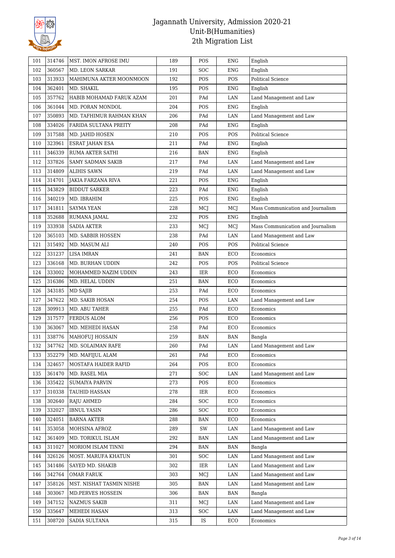

| 101 | 314746 | MST. IMON AFROSE IMU      | 189 | POS                     | <b>ENG</b>  | English                           |
|-----|--------|---------------------------|-----|-------------------------|-------------|-----------------------------------|
| 102 | 360567 | MD. LEON SARKAR           | 191 | SOC                     | <b>ENG</b>  | English                           |
| 103 | 313933 | MAHIMUNA AKTER MOONMOON   | 192 | POS                     | POS         | <b>Political Science</b>          |
| 104 | 362401 | MD. SHAKIL                | 195 | POS                     | <b>ENG</b>  | English                           |
| 105 | 357762 | HABIB MOHAMAD FARUK AZAM  | 201 | PAd                     | $\rm LAN$   | Land Management and Law           |
| 106 | 361044 | MD. PORAN MONDOL          | 204 | POS                     | ${\rm ENG}$ | English                           |
| 107 | 350893 | MD. TAFHIMUR RAHMAN KHAN  | 206 | PAd                     | LAN         | Land Management and Law           |
| 108 | 334026 | FARIDA SULTANA PREITY     | 208 | PAd                     | <b>ENG</b>  | English                           |
| 109 | 317588 | MD. JAHID HOSEN           | 210 | POS                     | POS         | <b>Political Science</b>          |
| 110 | 323961 | ESRAT JAHAN ESA           | 211 | PAd                     | ENG         | English                           |
| 111 | 346339 | RUMA AKTER SATHI          | 216 | <b>BAN</b>              | <b>ENG</b>  | English                           |
| 112 | 337826 | SAMY SADMAN SAKIB         | 217 | PAd                     | LAN         | Land Management and Law           |
| 113 | 314809 | <b>ALIHIS SAWN</b>        | 219 | PAd                     | LAN         | Land Management and Law           |
| 114 | 314701 | <b>JAKIA FARZANA RIVA</b> | 221 | POS                     | <b>ENG</b>  | English                           |
| 115 | 343829 | <b>BIDDUT SARKER</b>      | 223 | PAd                     | <b>ENG</b>  | English                           |
| 116 | 340219 | MD. IBRAHIM               | 225 | POS                     | <b>ENG</b>  | English                           |
| 117 | 341811 | SAYMA YEAN                | 228 | MCJ                     | MCJ         | Mass Communication and Journalism |
| 118 | 352688 | RUMANA JAMAL              | 232 | POS                     | <b>ENG</b>  | English                           |
| 119 | 333938 | <b>SADIA AKTER</b>        | 233 | MCJ                     | MCJ         | Mass Communication and Journalism |
| 120 | 365103 | MD. SABBIR HOSSEN         | 238 | PAd                     | LAN         | Land Management and Law           |
| 121 | 315492 | MD. MASUM ALI             | 240 | POS                     | POS         | <b>Political Science</b>          |
| 122 | 331237 | <b>LISA IMRAN</b>         | 241 | <b>BAN</b>              | ECO         | Economics                         |
| 123 | 336168 | MD. BURHAN UDDIN          | 242 | POS                     | POS         | <b>Political Science</b>          |
| 124 | 333002 | MOHAMMED NAZIM UDDIN      | 243 | IER                     | ECO         | Economics                         |
| 125 | 316386 | MD. HELAL UDDIN           | 251 | <b>BAN</b>              | ECO         | Economics                         |
| 126 | 343185 | MD SAJIB                  | 253 | PAd                     | ECO         | Economics                         |
| 127 | 347622 | MD. SAKIB HOSAN           | 254 | POS                     | LAN         | Land Management and Law           |
| 128 | 309913 | MD. ABU TAHER             | 255 | PAd                     | ECO         | Economics                         |
| 129 | 317577 | FERDUS ALOM               | 256 | POS                     | ECO         | Economics                         |
| 130 | 363067 | MD. MEHEDI HASAN          | 258 | PAd                     | ECO         | Economics                         |
|     |        |                           | 259 |                         |             |                                   |
| 131 | 338776 | <b>MAHOFUJ HOSSAIN</b>    |     | <b>BAN</b>              | <b>BAN</b>  | Bangla                            |
| 132 | 347762 | MD. SOLAIMAN RAFE         | 260 | PAd                     | LAN         | Land Management and Law           |
| 133 | 352279 | MD. MAFIJUL ALAM          | 261 | $\mathop{\mathrm{PAd}}$ | ECO         | Economics                         |
| 134 | 324657 | MOSTAFA HAIDER RAFID      | 264 | POS                     | ECO         | Economics                         |
| 135 | 361470 | MD. RASEL MIA             | 271 | <b>SOC</b>              | LAN         | Land Management and Law           |
| 136 | 335422 | <b>SUMAIYA PARVIN</b>     | 273 | POS                     | ECO         | Economics                         |
| 137 | 310338 | TAUHID HASSAN             | 278 | IER                     | ECO         | Economics                         |
| 138 | 302640 | RAJU AHMED                | 284 | <b>SOC</b>              | ECO         | Economics                         |
| 139 | 332027 | <b>IBNUL YASIN</b>        | 286 | <b>SOC</b>              | ECO         | Economics                         |
| 140 | 324051 | <b>BARNA AKTER</b>        | 288 | <b>BAN</b>              | ECO         | Economics                         |
| 141 | 353058 | MOHSINA AFROZ             | 289 | SW                      | LAN         | Land Management and Law           |
| 142 | 361409 | MD. TORIKUL ISLAM         | 292 | BAN                     | LAN         | Land Management and Law           |
| 143 | 311027 | MORIOM ISLAM TINNI        | 294 | <b>BAN</b>              | <b>BAN</b>  | Bangla                            |
| 144 | 326126 | MOST. MARUFA KHATUN       | 301 | <b>SOC</b>              | LAN         | Land Management and Law           |
| 145 | 341486 | SAYED MD. SHAKIB          | 302 | IER                     | LAN         | Land Management and Law           |
| 146 | 342764 | <b>OMAR FARUK</b>         | 303 | MCJ                     | LAN         | Land Management and Law           |
| 147 | 358126 | MST. NISHAT TASMIN NISHE  | 305 | <b>BAN</b>              | LAN         | Land Management and Law           |
| 148 | 303067 | MD.PERVES HOSSEIN         | 306 | <b>BAN</b>              | BAN         | Bangla                            |
| 149 | 347152 | NAZMUS SAKIB              | 311 | MCJ                     | LAN         | Land Management and Law           |
| 150 | 335647 | MEHEDI HASAN              | 313 | <b>SOC</b>              | LAN         | Land Management and Law           |
| 151 | 308720 | SADIA SULTANA             | 315 | IS                      | ECO         | Economics                         |
|     |        |                           |     |                         |             |                                   |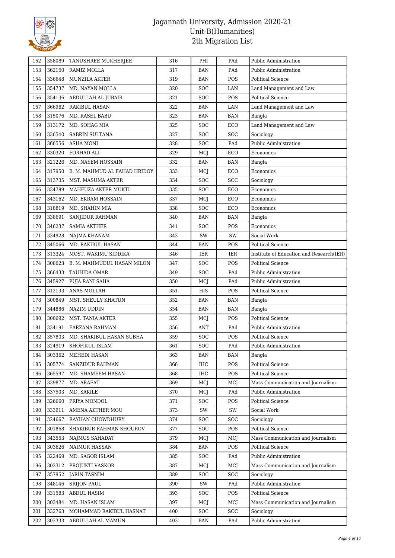

| 152 | 358089 | TANUSHREE MUKHERJEE          | 316 | PHI        | PAd        | <b>Public Administration</b>              |
|-----|--------|------------------------------|-----|------------|------------|-------------------------------------------|
| 153 | 362160 | RAMIZ MOLLA                  | 317 | BAN        | PAd        | Public Administration                     |
| 154 | 336648 | MUNZILA AKTER                | 319 | BAN        | POS        | <b>Political Science</b>                  |
| 155 | 354737 | MD. NAYAN MOLLA              | 320 | <b>SOC</b> | LAN        | Land Management and Law                   |
| 156 | 354136 | ABDULLAH AL JUBAIR           | 321 | SOC        | POS        | <b>Political Science</b>                  |
| 157 | 366962 | RAKIBUL HASAN                | 322 | <b>BAN</b> | LAN        | Land Management and Law                   |
| 158 | 315076 | MD. RASEL BABU               | 323 | <b>BAN</b> | <b>BAN</b> | Bangla                                    |
| 159 | 313172 | MD. SOHAG MIA                | 325 | SOC        | ECO        | Land Management and Law                   |
| 160 | 336540 | <b>SABRIN SULTANA</b>        | 327 | <b>SOC</b> | <b>SOC</b> | Sociology                                 |
| 161 | 366556 | ASHA MONI                    | 328 | <b>SOC</b> | PAd        | Public Administration                     |
| 162 | 330320 | FORHAD ALI                   | 329 | MCJ        | ECO        | Economics                                 |
| 163 | 321226 | MD. NAYEM HOSSAIN            | 332 | <b>BAN</b> | <b>BAN</b> | Bangla                                    |
| 164 | 317950 | B. M. MAHMUD AL FAHAD HRIDOY | 333 | MCJ        | ECO        | Economics                                 |
| 165 | 313735 | MST. MASUMA AKTER            | 334 | <b>SOC</b> | <b>SOC</b> | Sociology                                 |
| 166 | 334789 | MAHFUZA AKTER MUKTI          | 335 | <b>SOC</b> | ECO        | Economics                                 |
| 167 | 343162 | MD. EKRAM HOSSAIN            | 337 | MCJ        | ECO        | Economics                                 |
| 168 | 318819 | MD. SHAHIN MIA               | 338 | <b>SOC</b> | ECO        | Economics                                 |
| 169 | 338691 | <b>SANJIDUR RAHMAN</b>       | 340 | BAN        | <b>BAN</b> | Bangla                                    |
| 170 | 346237 | <b>SAMIA AKTHER</b>          | 341 | <b>SOC</b> | POS        | Economics                                 |
| 171 | 334928 | NAJMA KHANAM                 | 343 | SW         | SW         | Social Work                               |
| 172 | 345066 | MD. RAKIBUL HASAN            | 344 | BAN        | POS        | <b>Political Science</b>                  |
| 173 | 313324 | MOST. WAKIMU SIDDIKA         | 346 | IER        | IER        | Institute of Education and Research (IER) |
| 174 | 308623 | B. M. MAHMUDUL HASAN MILON   | 347 | <b>SOC</b> | POS        | <b>Political Science</b>                  |
| 175 | 366433 | TAUHIDA OMAR                 | 349 | SOC        | PAd        | Public Administration                     |
| 176 | 345927 | PUJA RANI SAHA               | 350 | MCJ        | PAd        | Public Administration                     |
| 177 | 312133 | ANAS MOLLAH                  | 351 | HIS        | POS        | <b>Political Science</b>                  |
| 178 | 300849 | MST. SHEULY KHATUN           | 352 | <b>BAN</b> | <b>BAN</b> | Bangla                                    |
| 179 | 344886 | <b>NAZIM UDDIN</b>           | 354 | <b>BAN</b> | <b>BAN</b> | Bangla                                    |
| 180 | 300692 | MST. TANIA AKTER             | 355 | MCJ        | POS        | <b>Political Science</b>                  |
| 181 | 334191 | FARZANA RAHMAN               | 356 | <b>ANT</b> | PAd        | Public Administration                     |
| 182 | 357803 | MD. SHAKIBUL HASAN SUBHA     | 359 | <b>SOC</b> | POS        | <b>Political Science</b>                  |
| 183 | 324919 | SHOFIKUL ISLAM               | 361 | SOC        | PAd        | <b>Public Administration</b>              |
| 184 | 303362 | MEHEDI HASAN                 | 363 | <b>BAN</b> | <b>BAN</b> | Bangla                                    |
| 185 | 305774 | <b>SANZIDUR RAHMAN</b>       | 366 | <b>IHC</b> | POS        | <b>Political Science</b>                  |
| 186 | 365597 | MD. SHAMEEM HASAN            | 368 | IHC        | POS        | Political Science                         |
| 187 | 339877 | MD. ARAFAT                   | 369 | MCJ        | MCJ        | Mass Communication and Journalism         |
| 188 | 337503 | MD. SAKILE                   | 370 | MCJ        | PAd        | Public Administration                     |
| 189 | 326660 | PRIYA MONDOL                 | 371 | <b>SOC</b> | POS        | <b>Political Science</b>                  |
| 190 | 333911 | AMENA AKTHER MOU             | 373 | SW         | SW         | Social Work                               |
| 191 | 324667 | RAYHAN CHOWDHURY             | 374 | SOC        | <b>SOC</b> | Sociology                                 |
| 192 | 301868 | SHAKIBUR RAHMAN SHOUROV      | 377 | <b>SOC</b> | POS        | <b>Political Science</b>                  |
| 193 | 343553 | NAJMUS SAHADAT               | 379 | MCJ        | MCJ        | Mass Communication and Journalism         |
| 194 | 303626 | NAIMUR HASSAN                | 384 | <b>BAN</b> | POS        | Political Science                         |
| 195 | 322469 | MD. SAGOR ISLAM              | 385 | <b>SOC</b> | PAd        | Public Administration                     |
| 196 | 303312 | PROJUKTI VASKOR              | 387 | MCJ        | MCJ        | Mass Communication and Journalism         |
| 197 | 357952 | <b>JARIN TASNIM</b>          | 389 | <b>SOC</b> | <b>SOC</b> | Sociology                                 |
| 198 | 348146 | <b>SRIJON PAUL</b>           | 390 | SW         | PAd        | Public Administration                     |
| 199 | 331583 | ABDUL HASIM                  | 393 | <b>SOC</b> | POS        | <b>Political Science</b>                  |
| 200 | 303484 | MD. HASAN ISLAM              | 397 | MCJ        | MCJ        | Mass Communication and Journalism         |
| 201 | 332763 | MOHAMMAD RAKIBUL HASNAT      | 400 | <b>SOC</b> | <b>SOC</b> | Sociology                                 |
| 202 | 303333 | ABDULLAH AL MAMUN            | 403 | BAN        | PAd        | Public Administration                     |
|     |        |                              |     |            |            |                                           |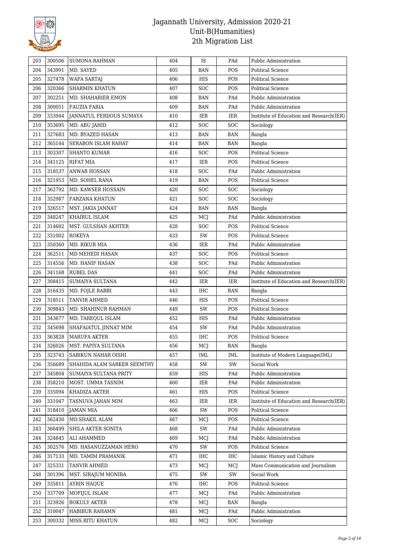

| 343991<br>204<br>MD. SAYED<br>405<br>POS<br><b>Political Science</b><br>BAN<br>327478<br>406<br>HIS<br>POS<br>205<br><b>WAFA SARTAJ</b><br>Political Science<br>206<br>320366<br><b>SHARMIN KHATUN</b><br>407<br><b>SOC</b><br>POS<br><b>Political Science</b><br>302251<br>207<br>MD. SHAHARIER EMON<br>408<br>PAd<br>Public Administration<br>BAN<br>300051<br>PAd<br>Public Administration<br>208<br>FAUZIA FARIA<br>409<br>BAN<br>209<br>333944<br>JANNATUL FERDOUS SUMAYA<br>410<br>IER<br>IER<br>Institute of Education and Research(IER)<br>353695<br>210<br>412<br><b>SOC</b><br><b>SOC</b><br>MD. ABU JAHID<br>Sociology<br>327683<br>211<br>MD. BYAZED HASAN<br>413<br><b>BAN</b><br><b>BAN</b><br>Bangla<br>212<br>365144<br>SERABON ISLAM RAHAT<br>414<br>BAN<br><b>BAN</b><br>Bangla<br>303307<br>213<br><b>SHANTO KUMAR</b><br>416<br><b>SOC</b><br>POS<br>Political Science<br>341125<br>POS<br>214<br><b>RIFAT MIA</b><br>417<br>IER<br><b>Political Science</b><br>215<br>318537<br><b>ANWAR HOSSAN</b><br><b>SOC</b><br>418<br>PAd<br>Public Administration<br>321953<br>216<br>MD. SOHEL RANA<br>419<br>POS<br><b>Political Science</b><br>BAN<br>362792<br>217<br>MD. KAWSER HOSSAIN<br>420<br><b>SOC</b><br><b>SOC</b><br>Sociology<br>352987<br>218<br><b>SOC</b><br>FARZANA KHATUN<br>421<br>SOC<br>Sociology<br>326517<br>219<br>424<br><b>BAN</b><br><b>BAN</b><br>MST. JAKIA JANNAT<br>Bangla<br>348247<br>220<br>KHAIRUL ISLAM<br>425<br>MCJ<br>PAd<br>Public Administration<br>314602<br>221<br>MST. GULSHAN AKHTER<br>428<br><b>SOC</b><br>POS<br><b>Political Science</b><br>331002<br>222<br><b>ROKEYA</b><br>433<br>SW<br>POS<br><b>Political Science</b><br>223<br>350360<br>MD. RIKUB MIA<br>IER<br>436<br>PAd<br>Public Administration<br>362511<br>437<br><b>SOC</b><br>POS<br>224<br>MD MEHEDI HASAN<br>Political Science<br>225<br>314556<br>MD. HANIF HASAN<br><b>SOC</b><br>PAd<br>Public Administration<br>438<br>341168<br><b>RUBEL DAS</b><br>SOC<br>226<br>441<br>PAd<br>Public Administration<br>308415<br>227<br>442<br>IER<br>IER<br>Institute of Education and Research(IER)<br>SUMAIYA SULTANA<br>316435<br>228<br>MD. FOJLE RABBI<br>443<br>IHC<br><b>BAN</b><br>Bangla<br>318511<br>POS<br><b>Political Science</b><br>229<br>TANVIR AHMED<br>446<br>HIS<br>309843<br>SW<br>449<br>POS<br>230<br>MD. SHAHINUR RAHMAN<br>Political Science<br>231<br>343677<br>HIS<br>PAd<br>MD. TAREQUL ISLAM<br>452<br>Public Administration<br>232<br>345698<br>454<br>SW<br>PAd<br>Public Administration<br>SHAFAIATUL JINNAT MIM<br>363828<br>POS<br>233<br><b>MARUFA AKTER</b><br>455<br>IHC<br><b>Political Science</b><br>234<br>326026<br>456<br>MST. PAPIYA SULTANA<br>MCJ<br><b>BAN</b><br>Bangla<br>323743<br>SABIKUN NAHAR OISHI<br>457<br>IML<br>IML<br>Institute of Modern Language(IML)<br>235<br>236<br>356689<br>SHAHIDA ALAM SARKER SEEMTHY<br>458<br>SW<br>SW<br>Social Work<br>345804<br>SUMAIYA SULTANA PRITY<br>459<br>HIS<br>Public Administration<br>237<br>PAd<br>358210<br>460<br>PAd<br>Public Administration<br>238<br>MOST. UMMA TASNIM<br>IER<br>335094<br>KHADIZA AKTER<br>HIS<br>POS<br><b>Political Science</b><br>239<br>461<br>331047<br>Institute of Education and Research(IER)<br>240<br>TASNUVA JAHAN MIM<br>463<br>IER<br>IER<br>241<br>318410<br><b>JAMAN MIA</b><br>466<br>SW<br>POS<br>Political Science<br>242<br>362430<br>MD.SHAKIL ALAM<br>467<br>POS<br><b>Political Science</b><br>MCJ<br>366499<br>SW<br>PAd<br>Public Administration<br>243<br>SHILA AKTER SONITA<br>468<br>324845<br>ALI AHAMMED<br>469<br>PAd<br>Public Administration<br>244<br>MCJ<br>302576<br>POS<br>245<br>MD. HASANUZZAMAN HERO<br>470<br>SW<br>Political Science<br>317133<br>471<br>IHC<br><b>IHC</b><br>Islamic History and Culture<br>246<br>MD. TAMIM PRAMANIK<br>325331<br>TANVIR AHMED<br>Mass Communication and Journalism<br>247<br>473<br>MCJ<br>MCJ<br>248<br>301396<br>MST. SIRAJUM MONIRA<br>475<br>SW<br>SW<br>Social Work<br>335811<br><b>Political Science</b><br>249<br><b>AYRIN HAQUE</b><br>476<br>IHC<br>POS<br>337709<br>MOFIJUL ISLAM<br>477<br>250<br>MCJ<br>PAd<br>Public Administration<br>323926<br><b>BOKULY AKTER</b><br>478<br><b>BAN</b><br>251<br>MCJ<br>Bangla<br>Public Administration<br>252<br>310047<br>HABIBUR RAHAMN<br>PAd<br>481<br>MCJ<br>300332<br>MISS.RITU KHATUN<br>482<br>SOC<br>253<br>MCJ<br>Sociology | 203 | 300506 | <b>SUMONA RAHMAN</b> | 404 | IS | PAd | Public Administration |
|----------------------------------------------------------------------------------------------------------------------------------------------------------------------------------------------------------------------------------------------------------------------------------------------------------------------------------------------------------------------------------------------------------------------------------------------------------------------------------------------------------------------------------------------------------------------------------------------------------------------------------------------------------------------------------------------------------------------------------------------------------------------------------------------------------------------------------------------------------------------------------------------------------------------------------------------------------------------------------------------------------------------------------------------------------------------------------------------------------------------------------------------------------------------------------------------------------------------------------------------------------------------------------------------------------------------------------------------------------------------------------------------------------------------------------------------------------------------------------------------------------------------------------------------------------------------------------------------------------------------------------------------------------------------------------------------------------------------------------------------------------------------------------------------------------------------------------------------------------------------------------------------------------------------------------------------------------------------------------------------------------------------------------------------------------------------------------------------------------------------------------------------------------------------------------------------------------------------------------------------------------------------------------------------------------------------------------------------------------------------------------------------------------------------------------------------------------------------------------------------------------------------------------------------------------------------------------------------------------------------------------------------------------------------------------------------------------------------------------------------------------------------------------------------------------------------------------------------------------------------------------------------------------------------------------------------------------------------------------------------------------------------------------------------------------------------------------------------------------------------------------------------------------------------------------------------------------------------------------------------------------------------------------------------------------------------------------------------------------------------------------------------------------------------------------------------------------------------------------------------------------------------------------------------------------------------------------------------------------------------------------------------------------------------------------------------------------------------------------------------------------------------------------------------------------------------------------------------------------------------------------------------------------------------------------------------------------------------------------------------------------------------------------------------------------------------------------------------------------------------------------------------------------------------------------------------------------------------------------------------------------------------------------------------------------------------------------------------------------------------------------------------------------------------|-----|--------|----------------------|-----|----|-----|-----------------------|
|                                                                                                                                                                                                                                                                                                                                                                                                                                                                                                                                                                                                                                                                                                                                                                                                                                                                                                                                                                                                                                                                                                                                                                                                                                                                                                                                                                                                                                                                                                                                                                                                                                                                                                                                                                                                                                                                                                                                                                                                                                                                                                                                                                                                                                                                                                                                                                                                                                                                                                                                                                                                                                                                                                                                                                                                                                                                                                                                                                                                                                                                                                                                                                                                                                                                                                                                                                                                                                                                                                                                                                                                                                                                                                                                                                                                                                                                                                                                                                                                                                                                                                                                                                                                                                                                                                                                                                                                                      |     |        |                      |     |    |     |                       |
|                                                                                                                                                                                                                                                                                                                                                                                                                                                                                                                                                                                                                                                                                                                                                                                                                                                                                                                                                                                                                                                                                                                                                                                                                                                                                                                                                                                                                                                                                                                                                                                                                                                                                                                                                                                                                                                                                                                                                                                                                                                                                                                                                                                                                                                                                                                                                                                                                                                                                                                                                                                                                                                                                                                                                                                                                                                                                                                                                                                                                                                                                                                                                                                                                                                                                                                                                                                                                                                                                                                                                                                                                                                                                                                                                                                                                                                                                                                                                                                                                                                                                                                                                                                                                                                                                                                                                                                                                      |     |        |                      |     |    |     |                       |
|                                                                                                                                                                                                                                                                                                                                                                                                                                                                                                                                                                                                                                                                                                                                                                                                                                                                                                                                                                                                                                                                                                                                                                                                                                                                                                                                                                                                                                                                                                                                                                                                                                                                                                                                                                                                                                                                                                                                                                                                                                                                                                                                                                                                                                                                                                                                                                                                                                                                                                                                                                                                                                                                                                                                                                                                                                                                                                                                                                                                                                                                                                                                                                                                                                                                                                                                                                                                                                                                                                                                                                                                                                                                                                                                                                                                                                                                                                                                                                                                                                                                                                                                                                                                                                                                                                                                                                                                                      |     |        |                      |     |    |     |                       |
|                                                                                                                                                                                                                                                                                                                                                                                                                                                                                                                                                                                                                                                                                                                                                                                                                                                                                                                                                                                                                                                                                                                                                                                                                                                                                                                                                                                                                                                                                                                                                                                                                                                                                                                                                                                                                                                                                                                                                                                                                                                                                                                                                                                                                                                                                                                                                                                                                                                                                                                                                                                                                                                                                                                                                                                                                                                                                                                                                                                                                                                                                                                                                                                                                                                                                                                                                                                                                                                                                                                                                                                                                                                                                                                                                                                                                                                                                                                                                                                                                                                                                                                                                                                                                                                                                                                                                                                                                      |     |        |                      |     |    |     |                       |
|                                                                                                                                                                                                                                                                                                                                                                                                                                                                                                                                                                                                                                                                                                                                                                                                                                                                                                                                                                                                                                                                                                                                                                                                                                                                                                                                                                                                                                                                                                                                                                                                                                                                                                                                                                                                                                                                                                                                                                                                                                                                                                                                                                                                                                                                                                                                                                                                                                                                                                                                                                                                                                                                                                                                                                                                                                                                                                                                                                                                                                                                                                                                                                                                                                                                                                                                                                                                                                                                                                                                                                                                                                                                                                                                                                                                                                                                                                                                                                                                                                                                                                                                                                                                                                                                                                                                                                                                                      |     |        |                      |     |    |     |                       |
|                                                                                                                                                                                                                                                                                                                                                                                                                                                                                                                                                                                                                                                                                                                                                                                                                                                                                                                                                                                                                                                                                                                                                                                                                                                                                                                                                                                                                                                                                                                                                                                                                                                                                                                                                                                                                                                                                                                                                                                                                                                                                                                                                                                                                                                                                                                                                                                                                                                                                                                                                                                                                                                                                                                                                                                                                                                                                                                                                                                                                                                                                                                                                                                                                                                                                                                                                                                                                                                                                                                                                                                                                                                                                                                                                                                                                                                                                                                                                                                                                                                                                                                                                                                                                                                                                                                                                                                                                      |     |        |                      |     |    |     |                       |
|                                                                                                                                                                                                                                                                                                                                                                                                                                                                                                                                                                                                                                                                                                                                                                                                                                                                                                                                                                                                                                                                                                                                                                                                                                                                                                                                                                                                                                                                                                                                                                                                                                                                                                                                                                                                                                                                                                                                                                                                                                                                                                                                                                                                                                                                                                                                                                                                                                                                                                                                                                                                                                                                                                                                                                                                                                                                                                                                                                                                                                                                                                                                                                                                                                                                                                                                                                                                                                                                                                                                                                                                                                                                                                                                                                                                                                                                                                                                                                                                                                                                                                                                                                                                                                                                                                                                                                                                                      |     |        |                      |     |    |     |                       |
|                                                                                                                                                                                                                                                                                                                                                                                                                                                                                                                                                                                                                                                                                                                                                                                                                                                                                                                                                                                                                                                                                                                                                                                                                                                                                                                                                                                                                                                                                                                                                                                                                                                                                                                                                                                                                                                                                                                                                                                                                                                                                                                                                                                                                                                                                                                                                                                                                                                                                                                                                                                                                                                                                                                                                                                                                                                                                                                                                                                                                                                                                                                                                                                                                                                                                                                                                                                                                                                                                                                                                                                                                                                                                                                                                                                                                                                                                                                                                                                                                                                                                                                                                                                                                                                                                                                                                                                                                      |     |        |                      |     |    |     |                       |
|                                                                                                                                                                                                                                                                                                                                                                                                                                                                                                                                                                                                                                                                                                                                                                                                                                                                                                                                                                                                                                                                                                                                                                                                                                                                                                                                                                                                                                                                                                                                                                                                                                                                                                                                                                                                                                                                                                                                                                                                                                                                                                                                                                                                                                                                                                                                                                                                                                                                                                                                                                                                                                                                                                                                                                                                                                                                                                                                                                                                                                                                                                                                                                                                                                                                                                                                                                                                                                                                                                                                                                                                                                                                                                                                                                                                                                                                                                                                                                                                                                                                                                                                                                                                                                                                                                                                                                                                                      |     |        |                      |     |    |     |                       |
|                                                                                                                                                                                                                                                                                                                                                                                                                                                                                                                                                                                                                                                                                                                                                                                                                                                                                                                                                                                                                                                                                                                                                                                                                                                                                                                                                                                                                                                                                                                                                                                                                                                                                                                                                                                                                                                                                                                                                                                                                                                                                                                                                                                                                                                                                                                                                                                                                                                                                                                                                                                                                                                                                                                                                                                                                                                                                                                                                                                                                                                                                                                                                                                                                                                                                                                                                                                                                                                                                                                                                                                                                                                                                                                                                                                                                                                                                                                                                                                                                                                                                                                                                                                                                                                                                                                                                                                                                      |     |        |                      |     |    |     |                       |
|                                                                                                                                                                                                                                                                                                                                                                                                                                                                                                                                                                                                                                                                                                                                                                                                                                                                                                                                                                                                                                                                                                                                                                                                                                                                                                                                                                                                                                                                                                                                                                                                                                                                                                                                                                                                                                                                                                                                                                                                                                                                                                                                                                                                                                                                                                                                                                                                                                                                                                                                                                                                                                                                                                                                                                                                                                                                                                                                                                                                                                                                                                                                                                                                                                                                                                                                                                                                                                                                                                                                                                                                                                                                                                                                                                                                                                                                                                                                                                                                                                                                                                                                                                                                                                                                                                                                                                                                                      |     |        |                      |     |    |     |                       |
|                                                                                                                                                                                                                                                                                                                                                                                                                                                                                                                                                                                                                                                                                                                                                                                                                                                                                                                                                                                                                                                                                                                                                                                                                                                                                                                                                                                                                                                                                                                                                                                                                                                                                                                                                                                                                                                                                                                                                                                                                                                                                                                                                                                                                                                                                                                                                                                                                                                                                                                                                                                                                                                                                                                                                                                                                                                                                                                                                                                                                                                                                                                                                                                                                                                                                                                                                                                                                                                                                                                                                                                                                                                                                                                                                                                                                                                                                                                                                                                                                                                                                                                                                                                                                                                                                                                                                                                                                      |     |        |                      |     |    |     |                       |
|                                                                                                                                                                                                                                                                                                                                                                                                                                                                                                                                                                                                                                                                                                                                                                                                                                                                                                                                                                                                                                                                                                                                                                                                                                                                                                                                                                                                                                                                                                                                                                                                                                                                                                                                                                                                                                                                                                                                                                                                                                                                                                                                                                                                                                                                                                                                                                                                                                                                                                                                                                                                                                                                                                                                                                                                                                                                                                                                                                                                                                                                                                                                                                                                                                                                                                                                                                                                                                                                                                                                                                                                                                                                                                                                                                                                                                                                                                                                                                                                                                                                                                                                                                                                                                                                                                                                                                                                                      |     |        |                      |     |    |     |                       |
|                                                                                                                                                                                                                                                                                                                                                                                                                                                                                                                                                                                                                                                                                                                                                                                                                                                                                                                                                                                                                                                                                                                                                                                                                                                                                                                                                                                                                                                                                                                                                                                                                                                                                                                                                                                                                                                                                                                                                                                                                                                                                                                                                                                                                                                                                                                                                                                                                                                                                                                                                                                                                                                                                                                                                                                                                                                                                                                                                                                                                                                                                                                                                                                                                                                                                                                                                                                                                                                                                                                                                                                                                                                                                                                                                                                                                                                                                                                                                                                                                                                                                                                                                                                                                                                                                                                                                                                                                      |     |        |                      |     |    |     |                       |
|                                                                                                                                                                                                                                                                                                                                                                                                                                                                                                                                                                                                                                                                                                                                                                                                                                                                                                                                                                                                                                                                                                                                                                                                                                                                                                                                                                                                                                                                                                                                                                                                                                                                                                                                                                                                                                                                                                                                                                                                                                                                                                                                                                                                                                                                                                                                                                                                                                                                                                                                                                                                                                                                                                                                                                                                                                                                                                                                                                                                                                                                                                                                                                                                                                                                                                                                                                                                                                                                                                                                                                                                                                                                                                                                                                                                                                                                                                                                                                                                                                                                                                                                                                                                                                                                                                                                                                                                                      |     |        |                      |     |    |     |                       |
|                                                                                                                                                                                                                                                                                                                                                                                                                                                                                                                                                                                                                                                                                                                                                                                                                                                                                                                                                                                                                                                                                                                                                                                                                                                                                                                                                                                                                                                                                                                                                                                                                                                                                                                                                                                                                                                                                                                                                                                                                                                                                                                                                                                                                                                                                                                                                                                                                                                                                                                                                                                                                                                                                                                                                                                                                                                                                                                                                                                                                                                                                                                                                                                                                                                                                                                                                                                                                                                                                                                                                                                                                                                                                                                                                                                                                                                                                                                                                                                                                                                                                                                                                                                                                                                                                                                                                                                                                      |     |        |                      |     |    |     |                       |
|                                                                                                                                                                                                                                                                                                                                                                                                                                                                                                                                                                                                                                                                                                                                                                                                                                                                                                                                                                                                                                                                                                                                                                                                                                                                                                                                                                                                                                                                                                                                                                                                                                                                                                                                                                                                                                                                                                                                                                                                                                                                                                                                                                                                                                                                                                                                                                                                                                                                                                                                                                                                                                                                                                                                                                                                                                                                                                                                                                                                                                                                                                                                                                                                                                                                                                                                                                                                                                                                                                                                                                                                                                                                                                                                                                                                                                                                                                                                                                                                                                                                                                                                                                                                                                                                                                                                                                                                                      |     |        |                      |     |    |     |                       |
|                                                                                                                                                                                                                                                                                                                                                                                                                                                                                                                                                                                                                                                                                                                                                                                                                                                                                                                                                                                                                                                                                                                                                                                                                                                                                                                                                                                                                                                                                                                                                                                                                                                                                                                                                                                                                                                                                                                                                                                                                                                                                                                                                                                                                                                                                                                                                                                                                                                                                                                                                                                                                                                                                                                                                                                                                                                                                                                                                                                                                                                                                                                                                                                                                                                                                                                                                                                                                                                                                                                                                                                                                                                                                                                                                                                                                                                                                                                                                                                                                                                                                                                                                                                                                                                                                                                                                                                                                      |     |        |                      |     |    |     |                       |
|                                                                                                                                                                                                                                                                                                                                                                                                                                                                                                                                                                                                                                                                                                                                                                                                                                                                                                                                                                                                                                                                                                                                                                                                                                                                                                                                                                                                                                                                                                                                                                                                                                                                                                                                                                                                                                                                                                                                                                                                                                                                                                                                                                                                                                                                                                                                                                                                                                                                                                                                                                                                                                                                                                                                                                                                                                                                                                                                                                                                                                                                                                                                                                                                                                                                                                                                                                                                                                                                                                                                                                                                                                                                                                                                                                                                                                                                                                                                                                                                                                                                                                                                                                                                                                                                                                                                                                                                                      |     |        |                      |     |    |     |                       |
|                                                                                                                                                                                                                                                                                                                                                                                                                                                                                                                                                                                                                                                                                                                                                                                                                                                                                                                                                                                                                                                                                                                                                                                                                                                                                                                                                                                                                                                                                                                                                                                                                                                                                                                                                                                                                                                                                                                                                                                                                                                                                                                                                                                                                                                                                                                                                                                                                                                                                                                                                                                                                                                                                                                                                                                                                                                                                                                                                                                                                                                                                                                                                                                                                                                                                                                                                                                                                                                                                                                                                                                                                                                                                                                                                                                                                                                                                                                                                                                                                                                                                                                                                                                                                                                                                                                                                                                                                      |     |        |                      |     |    |     |                       |
|                                                                                                                                                                                                                                                                                                                                                                                                                                                                                                                                                                                                                                                                                                                                                                                                                                                                                                                                                                                                                                                                                                                                                                                                                                                                                                                                                                                                                                                                                                                                                                                                                                                                                                                                                                                                                                                                                                                                                                                                                                                                                                                                                                                                                                                                                                                                                                                                                                                                                                                                                                                                                                                                                                                                                                                                                                                                                                                                                                                                                                                                                                                                                                                                                                                                                                                                                                                                                                                                                                                                                                                                                                                                                                                                                                                                                                                                                                                                                                                                                                                                                                                                                                                                                                                                                                                                                                                                                      |     |        |                      |     |    |     |                       |
|                                                                                                                                                                                                                                                                                                                                                                                                                                                                                                                                                                                                                                                                                                                                                                                                                                                                                                                                                                                                                                                                                                                                                                                                                                                                                                                                                                                                                                                                                                                                                                                                                                                                                                                                                                                                                                                                                                                                                                                                                                                                                                                                                                                                                                                                                                                                                                                                                                                                                                                                                                                                                                                                                                                                                                                                                                                                                                                                                                                                                                                                                                                                                                                                                                                                                                                                                                                                                                                                                                                                                                                                                                                                                                                                                                                                                                                                                                                                                                                                                                                                                                                                                                                                                                                                                                                                                                                                                      |     |        |                      |     |    |     |                       |
|                                                                                                                                                                                                                                                                                                                                                                                                                                                                                                                                                                                                                                                                                                                                                                                                                                                                                                                                                                                                                                                                                                                                                                                                                                                                                                                                                                                                                                                                                                                                                                                                                                                                                                                                                                                                                                                                                                                                                                                                                                                                                                                                                                                                                                                                                                                                                                                                                                                                                                                                                                                                                                                                                                                                                                                                                                                                                                                                                                                                                                                                                                                                                                                                                                                                                                                                                                                                                                                                                                                                                                                                                                                                                                                                                                                                                                                                                                                                                                                                                                                                                                                                                                                                                                                                                                                                                                                                                      |     |        |                      |     |    |     |                       |
|                                                                                                                                                                                                                                                                                                                                                                                                                                                                                                                                                                                                                                                                                                                                                                                                                                                                                                                                                                                                                                                                                                                                                                                                                                                                                                                                                                                                                                                                                                                                                                                                                                                                                                                                                                                                                                                                                                                                                                                                                                                                                                                                                                                                                                                                                                                                                                                                                                                                                                                                                                                                                                                                                                                                                                                                                                                                                                                                                                                                                                                                                                                                                                                                                                                                                                                                                                                                                                                                                                                                                                                                                                                                                                                                                                                                                                                                                                                                                                                                                                                                                                                                                                                                                                                                                                                                                                                                                      |     |        |                      |     |    |     |                       |
|                                                                                                                                                                                                                                                                                                                                                                                                                                                                                                                                                                                                                                                                                                                                                                                                                                                                                                                                                                                                                                                                                                                                                                                                                                                                                                                                                                                                                                                                                                                                                                                                                                                                                                                                                                                                                                                                                                                                                                                                                                                                                                                                                                                                                                                                                                                                                                                                                                                                                                                                                                                                                                                                                                                                                                                                                                                                                                                                                                                                                                                                                                                                                                                                                                                                                                                                                                                                                                                                                                                                                                                                                                                                                                                                                                                                                                                                                                                                                                                                                                                                                                                                                                                                                                                                                                                                                                                                                      |     |        |                      |     |    |     |                       |
|                                                                                                                                                                                                                                                                                                                                                                                                                                                                                                                                                                                                                                                                                                                                                                                                                                                                                                                                                                                                                                                                                                                                                                                                                                                                                                                                                                                                                                                                                                                                                                                                                                                                                                                                                                                                                                                                                                                                                                                                                                                                                                                                                                                                                                                                                                                                                                                                                                                                                                                                                                                                                                                                                                                                                                                                                                                                                                                                                                                                                                                                                                                                                                                                                                                                                                                                                                                                                                                                                                                                                                                                                                                                                                                                                                                                                                                                                                                                                                                                                                                                                                                                                                                                                                                                                                                                                                                                                      |     |        |                      |     |    |     |                       |
|                                                                                                                                                                                                                                                                                                                                                                                                                                                                                                                                                                                                                                                                                                                                                                                                                                                                                                                                                                                                                                                                                                                                                                                                                                                                                                                                                                                                                                                                                                                                                                                                                                                                                                                                                                                                                                                                                                                                                                                                                                                                                                                                                                                                                                                                                                                                                                                                                                                                                                                                                                                                                                                                                                                                                                                                                                                                                                                                                                                                                                                                                                                                                                                                                                                                                                                                                                                                                                                                                                                                                                                                                                                                                                                                                                                                                                                                                                                                                                                                                                                                                                                                                                                                                                                                                                                                                                                                                      |     |        |                      |     |    |     |                       |
|                                                                                                                                                                                                                                                                                                                                                                                                                                                                                                                                                                                                                                                                                                                                                                                                                                                                                                                                                                                                                                                                                                                                                                                                                                                                                                                                                                                                                                                                                                                                                                                                                                                                                                                                                                                                                                                                                                                                                                                                                                                                                                                                                                                                                                                                                                                                                                                                                                                                                                                                                                                                                                                                                                                                                                                                                                                                                                                                                                                                                                                                                                                                                                                                                                                                                                                                                                                                                                                                                                                                                                                                                                                                                                                                                                                                                                                                                                                                                                                                                                                                                                                                                                                                                                                                                                                                                                                                                      |     |        |                      |     |    |     |                       |
|                                                                                                                                                                                                                                                                                                                                                                                                                                                                                                                                                                                                                                                                                                                                                                                                                                                                                                                                                                                                                                                                                                                                                                                                                                                                                                                                                                                                                                                                                                                                                                                                                                                                                                                                                                                                                                                                                                                                                                                                                                                                                                                                                                                                                                                                                                                                                                                                                                                                                                                                                                                                                                                                                                                                                                                                                                                                                                                                                                                                                                                                                                                                                                                                                                                                                                                                                                                                                                                                                                                                                                                                                                                                                                                                                                                                                                                                                                                                                                                                                                                                                                                                                                                                                                                                                                                                                                                                                      |     |        |                      |     |    |     |                       |
|                                                                                                                                                                                                                                                                                                                                                                                                                                                                                                                                                                                                                                                                                                                                                                                                                                                                                                                                                                                                                                                                                                                                                                                                                                                                                                                                                                                                                                                                                                                                                                                                                                                                                                                                                                                                                                                                                                                                                                                                                                                                                                                                                                                                                                                                                                                                                                                                                                                                                                                                                                                                                                                                                                                                                                                                                                                                                                                                                                                                                                                                                                                                                                                                                                                                                                                                                                                                                                                                                                                                                                                                                                                                                                                                                                                                                                                                                                                                                                                                                                                                                                                                                                                                                                                                                                                                                                                                                      |     |        |                      |     |    |     |                       |
|                                                                                                                                                                                                                                                                                                                                                                                                                                                                                                                                                                                                                                                                                                                                                                                                                                                                                                                                                                                                                                                                                                                                                                                                                                                                                                                                                                                                                                                                                                                                                                                                                                                                                                                                                                                                                                                                                                                                                                                                                                                                                                                                                                                                                                                                                                                                                                                                                                                                                                                                                                                                                                                                                                                                                                                                                                                                                                                                                                                                                                                                                                                                                                                                                                                                                                                                                                                                                                                                                                                                                                                                                                                                                                                                                                                                                                                                                                                                                                                                                                                                                                                                                                                                                                                                                                                                                                                                                      |     |        |                      |     |    |     |                       |
|                                                                                                                                                                                                                                                                                                                                                                                                                                                                                                                                                                                                                                                                                                                                                                                                                                                                                                                                                                                                                                                                                                                                                                                                                                                                                                                                                                                                                                                                                                                                                                                                                                                                                                                                                                                                                                                                                                                                                                                                                                                                                                                                                                                                                                                                                                                                                                                                                                                                                                                                                                                                                                                                                                                                                                                                                                                                                                                                                                                                                                                                                                                                                                                                                                                                                                                                                                                                                                                                                                                                                                                                                                                                                                                                                                                                                                                                                                                                                                                                                                                                                                                                                                                                                                                                                                                                                                                                                      |     |        |                      |     |    |     |                       |
|                                                                                                                                                                                                                                                                                                                                                                                                                                                                                                                                                                                                                                                                                                                                                                                                                                                                                                                                                                                                                                                                                                                                                                                                                                                                                                                                                                                                                                                                                                                                                                                                                                                                                                                                                                                                                                                                                                                                                                                                                                                                                                                                                                                                                                                                                                                                                                                                                                                                                                                                                                                                                                                                                                                                                                                                                                                                                                                                                                                                                                                                                                                                                                                                                                                                                                                                                                                                                                                                                                                                                                                                                                                                                                                                                                                                                                                                                                                                                                                                                                                                                                                                                                                                                                                                                                                                                                                                                      |     |        |                      |     |    |     |                       |
|                                                                                                                                                                                                                                                                                                                                                                                                                                                                                                                                                                                                                                                                                                                                                                                                                                                                                                                                                                                                                                                                                                                                                                                                                                                                                                                                                                                                                                                                                                                                                                                                                                                                                                                                                                                                                                                                                                                                                                                                                                                                                                                                                                                                                                                                                                                                                                                                                                                                                                                                                                                                                                                                                                                                                                                                                                                                                                                                                                                                                                                                                                                                                                                                                                                                                                                                                                                                                                                                                                                                                                                                                                                                                                                                                                                                                                                                                                                                                                                                                                                                                                                                                                                                                                                                                                                                                                                                                      |     |        |                      |     |    |     |                       |
|                                                                                                                                                                                                                                                                                                                                                                                                                                                                                                                                                                                                                                                                                                                                                                                                                                                                                                                                                                                                                                                                                                                                                                                                                                                                                                                                                                                                                                                                                                                                                                                                                                                                                                                                                                                                                                                                                                                                                                                                                                                                                                                                                                                                                                                                                                                                                                                                                                                                                                                                                                                                                                                                                                                                                                                                                                                                                                                                                                                                                                                                                                                                                                                                                                                                                                                                                                                                                                                                                                                                                                                                                                                                                                                                                                                                                                                                                                                                                                                                                                                                                                                                                                                                                                                                                                                                                                                                                      |     |        |                      |     |    |     |                       |
|                                                                                                                                                                                                                                                                                                                                                                                                                                                                                                                                                                                                                                                                                                                                                                                                                                                                                                                                                                                                                                                                                                                                                                                                                                                                                                                                                                                                                                                                                                                                                                                                                                                                                                                                                                                                                                                                                                                                                                                                                                                                                                                                                                                                                                                                                                                                                                                                                                                                                                                                                                                                                                                                                                                                                                                                                                                                                                                                                                                                                                                                                                                                                                                                                                                                                                                                                                                                                                                                                                                                                                                                                                                                                                                                                                                                                                                                                                                                                                                                                                                                                                                                                                                                                                                                                                                                                                                                                      |     |        |                      |     |    |     |                       |
|                                                                                                                                                                                                                                                                                                                                                                                                                                                                                                                                                                                                                                                                                                                                                                                                                                                                                                                                                                                                                                                                                                                                                                                                                                                                                                                                                                                                                                                                                                                                                                                                                                                                                                                                                                                                                                                                                                                                                                                                                                                                                                                                                                                                                                                                                                                                                                                                                                                                                                                                                                                                                                                                                                                                                                                                                                                                                                                                                                                                                                                                                                                                                                                                                                                                                                                                                                                                                                                                                                                                                                                                                                                                                                                                                                                                                                                                                                                                                                                                                                                                                                                                                                                                                                                                                                                                                                                                                      |     |        |                      |     |    |     |                       |
|                                                                                                                                                                                                                                                                                                                                                                                                                                                                                                                                                                                                                                                                                                                                                                                                                                                                                                                                                                                                                                                                                                                                                                                                                                                                                                                                                                                                                                                                                                                                                                                                                                                                                                                                                                                                                                                                                                                                                                                                                                                                                                                                                                                                                                                                                                                                                                                                                                                                                                                                                                                                                                                                                                                                                                                                                                                                                                                                                                                                                                                                                                                                                                                                                                                                                                                                                                                                                                                                                                                                                                                                                                                                                                                                                                                                                                                                                                                                                                                                                                                                                                                                                                                                                                                                                                                                                                                                                      |     |        |                      |     |    |     |                       |
|                                                                                                                                                                                                                                                                                                                                                                                                                                                                                                                                                                                                                                                                                                                                                                                                                                                                                                                                                                                                                                                                                                                                                                                                                                                                                                                                                                                                                                                                                                                                                                                                                                                                                                                                                                                                                                                                                                                                                                                                                                                                                                                                                                                                                                                                                                                                                                                                                                                                                                                                                                                                                                                                                                                                                                                                                                                                                                                                                                                                                                                                                                                                                                                                                                                                                                                                                                                                                                                                                                                                                                                                                                                                                                                                                                                                                                                                                                                                                                                                                                                                                                                                                                                                                                                                                                                                                                                                                      |     |        |                      |     |    |     |                       |
|                                                                                                                                                                                                                                                                                                                                                                                                                                                                                                                                                                                                                                                                                                                                                                                                                                                                                                                                                                                                                                                                                                                                                                                                                                                                                                                                                                                                                                                                                                                                                                                                                                                                                                                                                                                                                                                                                                                                                                                                                                                                                                                                                                                                                                                                                                                                                                                                                                                                                                                                                                                                                                                                                                                                                                                                                                                                                                                                                                                                                                                                                                                                                                                                                                                                                                                                                                                                                                                                                                                                                                                                                                                                                                                                                                                                                                                                                                                                                                                                                                                                                                                                                                                                                                                                                                                                                                                                                      |     |        |                      |     |    |     |                       |
|                                                                                                                                                                                                                                                                                                                                                                                                                                                                                                                                                                                                                                                                                                                                                                                                                                                                                                                                                                                                                                                                                                                                                                                                                                                                                                                                                                                                                                                                                                                                                                                                                                                                                                                                                                                                                                                                                                                                                                                                                                                                                                                                                                                                                                                                                                                                                                                                                                                                                                                                                                                                                                                                                                                                                                                                                                                                                                                                                                                                                                                                                                                                                                                                                                                                                                                                                                                                                                                                                                                                                                                                                                                                                                                                                                                                                                                                                                                                                                                                                                                                                                                                                                                                                                                                                                                                                                                                                      |     |        |                      |     |    |     |                       |
|                                                                                                                                                                                                                                                                                                                                                                                                                                                                                                                                                                                                                                                                                                                                                                                                                                                                                                                                                                                                                                                                                                                                                                                                                                                                                                                                                                                                                                                                                                                                                                                                                                                                                                                                                                                                                                                                                                                                                                                                                                                                                                                                                                                                                                                                                                                                                                                                                                                                                                                                                                                                                                                                                                                                                                                                                                                                                                                                                                                                                                                                                                                                                                                                                                                                                                                                                                                                                                                                                                                                                                                                                                                                                                                                                                                                                                                                                                                                                                                                                                                                                                                                                                                                                                                                                                                                                                                                                      |     |        |                      |     |    |     |                       |
|                                                                                                                                                                                                                                                                                                                                                                                                                                                                                                                                                                                                                                                                                                                                                                                                                                                                                                                                                                                                                                                                                                                                                                                                                                                                                                                                                                                                                                                                                                                                                                                                                                                                                                                                                                                                                                                                                                                                                                                                                                                                                                                                                                                                                                                                                                                                                                                                                                                                                                                                                                                                                                                                                                                                                                                                                                                                                                                                                                                                                                                                                                                                                                                                                                                                                                                                                                                                                                                                                                                                                                                                                                                                                                                                                                                                                                                                                                                                                                                                                                                                                                                                                                                                                                                                                                                                                                                                                      |     |        |                      |     |    |     |                       |
|                                                                                                                                                                                                                                                                                                                                                                                                                                                                                                                                                                                                                                                                                                                                                                                                                                                                                                                                                                                                                                                                                                                                                                                                                                                                                                                                                                                                                                                                                                                                                                                                                                                                                                                                                                                                                                                                                                                                                                                                                                                                                                                                                                                                                                                                                                                                                                                                                                                                                                                                                                                                                                                                                                                                                                                                                                                                                                                                                                                                                                                                                                                                                                                                                                                                                                                                                                                                                                                                                                                                                                                                                                                                                                                                                                                                                                                                                                                                                                                                                                                                                                                                                                                                                                                                                                                                                                                                                      |     |        |                      |     |    |     |                       |
|                                                                                                                                                                                                                                                                                                                                                                                                                                                                                                                                                                                                                                                                                                                                                                                                                                                                                                                                                                                                                                                                                                                                                                                                                                                                                                                                                                                                                                                                                                                                                                                                                                                                                                                                                                                                                                                                                                                                                                                                                                                                                                                                                                                                                                                                                                                                                                                                                                                                                                                                                                                                                                                                                                                                                                                                                                                                                                                                                                                                                                                                                                                                                                                                                                                                                                                                                                                                                                                                                                                                                                                                                                                                                                                                                                                                                                                                                                                                                                                                                                                                                                                                                                                                                                                                                                                                                                                                                      |     |        |                      |     |    |     |                       |
|                                                                                                                                                                                                                                                                                                                                                                                                                                                                                                                                                                                                                                                                                                                                                                                                                                                                                                                                                                                                                                                                                                                                                                                                                                                                                                                                                                                                                                                                                                                                                                                                                                                                                                                                                                                                                                                                                                                                                                                                                                                                                                                                                                                                                                                                                                                                                                                                                                                                                                                                                                                                                                                                                                                                                                                                                                                                                                                                                                                                                                                                                                                                                                                                                                                                                                                                                                                                                                                                                                                                                                                                                                                                                                                                                                                                                                                                                                                                                                                                                                                                                                                                                                                                                                                                                                                                                                                                                      |     |        |                      |     |    |     |                       |
|                                                                                                                                                                                                                                                                                                                                                                                                                                                                                                                                                                                                                                                                                                                                                                                                                                                                                                                                                                                                                                                                                                                                                                                                                                                                                                                                                                                                                                                                                                                                                                                                                                                                                                                                                                                                                                                                                                                                                                                                                                                                                                                                                                                                                                                                                                                                                                                                                                                                                                                                                                                                                                                                                                                                                                                                                                                                                                                                                                                                                                                                                                                                                                                                                                                                                                                                                                                                                                                                                                                                                                                                                                                                                                                                                                                                                                                                                                                                                                                                                                                                                                                                                                                                                                                                                                                                                                                                                      |     |        |                      |     |    |     |                       |
|                                                                                                                                                                                                                                                                                                                                                                                                                                                                                                                                                                                                                                                                                                                                                                                                                                                                                                                                                                                                                                                                                                                                                                                                                                                                                                                                                                                                                                                                                                                                                                                                                                                                                                                                                                                                                                                                                                                                                                                                                                                                                                                                                                                                                                                                                                                                                                                                                                                                                                                                                                                                                                                                                                                                                                                                                                                                                                                                                                                                                                                                                                                                                                                                                                                                                                                                                                                                                                                                                                                                                                                                                                                                                                                                                                                                                                                                                                                                                                                                                                                                                                                                                                                                                                                                                                                                                                                                                      |     |        |                      |     |    |     |                       |
|                                                                                                                                                                                                                                                                                                                                                                                                                                                                                                                                                                                                                                                                                                                                                                                                                                                                                                                                                                                                                                                                                                                                                                                                                                                                                                                                                                                                                                                                                                                                                                                                                                                                                                                                                                                                                                                                                                                                                                                                                                                                                                                                                                                                                                                                                                                                                                                                                                                                                                                                                                                                                                                                                                                                                                                                                                                                                                                                                                                                                                                                                                                                                                                                                                                                                                                                                                                                                                                                                                                                                                                                                                                                                                                                                                                                                                                                                                                                                                                                                                                                                                                                                                                                                                                                                                                                                                                                                      |     |        |                      |     |    |     |                       |
|                                                                                                                                                                                                                                                                                                                                                                                                                                                                                                                                                                                                                                                                                                                                                                                                                                                                                                                                                                                                                                                                                                                                                                                                                                                                                                                                                                                                                                                                                                                                                                                                                                                                                                                                                                                                                                                                                                                                                                                                                                                                                                                                                                                                                                                                                                                                                                                                                                                                                                                                                                                                                                                                                                                                                                                                                                                                                                                                                                                                                                                                                                                                                                                                                                                                                                                                                                                                                                                                                                                                                                                                                                                                                                                                                                                                                                                                                                                                                                                                                                                                                                                                                                                                                                                                                                                                                                                                                      |     |        |                      |     |    |     |                       |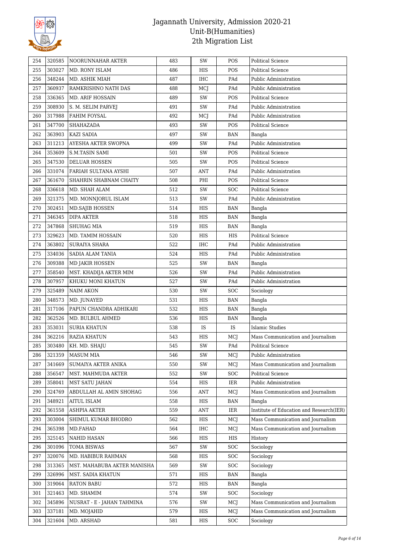

| 254        | 320585           | NOORUNNAHAR AKTER           | 483        | SW         | POS               | <b>Political Science</b>                       |
|------------|------------------|-----------------------------|------------|------------|-------------------|------------------------------------------------|
| 255        | 303027           | MD. RONY ISLAM              | 486        | HIS        | POS               | <b>Political Science</b>                       |
| 256        | 348244           | MD. ASHIK MIAH              | 487        | IHC        | PAd               | Public Administration                          |
| 257        | 360937           | RAMKRISHNO NATH DAS         | 488        | MCJ        | PAd               | Public Administration                          |
| 258        | 336365           | <b>MD. ARIF HOSSAIN</b>     | 489        | SW         | POS               | <b>Political Science</b>                       |
| 259        | 308930           | S. M. SELIM PARVEJ          | 491        | SW         | PAd               | Public Administration                          |
| 260        | 317988           | FAHIM FOYSAL                | 492        | MCJ        | PAd               | Public Administration                          |
| 261        | 347700           | SHAHAZADA                   | 493        | SW         | POS               | <b>Political Science</b>                       |
| 262        | 363903           | KAZI SADIA                  | 497        | SW         | <b>BAN</b>        | Bangla                                         |
| 263        | 311213           | AYESHA AKTER SWOPNA         | 499        | SW         | PAd               | Public Administration                          |
| 264        | 353609           | <b>S.M.TASIN SAMI</b>       | 501        | SW         | POS               | <b>Political Science</b>                       |
| 265        | 347530           | <b>DELUAR HOSSEN</b>        | 505        | SW         | POS               | <b>Political Science</b>                       |
| 266        | 331074           | FARIAH SULTANA AYSHI        | 507        | ANT        | PAd               | Public Administration                          |
| 267        | 361670           | SHAHRIN SHABNAM CHAITY      | 508        | PHI        | POS               | Political Science                              |
| 268        | 336618           | MD. SHAH ALAM               | 512        | SW         | <b>SOC</b>        | <b>Political Science</b>                       |
| 269        | 321375           | MD. MONNJORUL ISLAM         | 513        | SW         | PAd               | Public Administration                          |
| 270        | 302451           | MD.SAJIB HOSSEN             | 514        | HIS        | <b>BAN</b>        | Bangla                                         |
| 271        | 346345           | <b>DIPA AKTER</b>           | 518        | HIS        | <b>BAN</b>        | Bangla                                         |
| 272        | 347868           | <b>SHUHAG MIA</b>           | 519        | HIS        | <b>BAN</b>        | Bangla                                         |
| 273        | 329623           | MD. TAMIM HOSSAIN           | 520        | HIS        | HIS               | <b>Political Science</b>                       |
| 274        | 363802           | <b>SURAIYA SHARA</b>        | 522        | IHC        | PAd               | Public Administration                          |
| 275        | 334036           | SADIA ALAM TANIA            | 524        | HIS        | PAd               | Public Administration                          |
| 276        | 309388           | MD JAKIR HOSSEN             | 525        | SW         | BAN               | Bangla                                         |
| 277        | 358540           | MST. KHADIJA AKTER MIM      | 526        | SW         | PAd               | Public Administration                          |
| 278        | 307957           | KHUKU MONI KHATUN           | 527        | SW         | PAd               | Public Administration                          |
| 279        | 325489           | NAIM AKON                   | 530        | SW         | <b>SOC</b>        | Sociology                                      |
|            |                  |                             |            |            |                   |                                                |
|            |                  |                             |            |            |                   |                                                |
| 280        | 348573           | MD. JUNAYED                 | 531        | HIS        | <b>BAN</b>        | Bangla                                         |
| 281        | 317106           | PAPUN CHANDRA ADHIKARI      | 532        | HIS        | <b>BAN</b>        | Bangla                                         |
| 282        | 362526           | MD. BULBUL AHMED            | 536        | HIS        | BAN               | Bangla                                         |
| 283        | 353031           | <b>SURIA KHATUN</b>         | 538        | IS         | IS                | Islamic Studies                                |
| 284        | 362216           | <b>RAZIA KHATUN</b>         | 543        | HIS        | MCJ               | Mass Communication and Journalism              |
| 285        | 303480           | KH. MD. SHAJU               | 545        | SW         | PAd               | <b>Political Science</b>                       |
| 286        | 321359           | <b>MASUM MIA</b>            | 546        | SW         | MCJ               | Public Administration                          |
| 287        | 341669           | SUMAIYA AKTER ANIKA         | 550        | SW         | MCJ               | Mass Communication and Journalism              |
| 288        | 356547           | MST. MAHMUDA AKTER          | 552        | SW         | <b>SOC</b>        | <b>Political Science</b>                       |
| 289        | 358041           | <b>MST SATU JAHAN</b>       | 554        | HIS        | IER               | Public Administration                          |
| 290        | 324769           | ABDULLAH AL AMIN SHOHAG     | 556        | ANT        | MCJ               | Mass Communication and Journalism              |
| 291        | 348921           | AITUL ISLAM                 | 558        | HIS        | <b>BAN</b>        | Bangla                                         |
| 292        | 361558           | ASHPIA AKTER                | 559        | ANT        | IER               | Institute of Education and Research(IER)       |
| 293        | 303004           | SHIMUL KUMAR BHODRO         | 562        | HIS        | MCJ               | Mass Communication and Journalism              |
| 294        | 365398           | MD.FAHAD                    | 564        | IHC        | MCJ               | Mass Communication and Journalism              |
| 295        | 325145           | NAHID HASAN                 | 566        | HIS        | HIS               | History                                        |
| 296        | 301096           | TOMA BISWAS                 | 567        | SW         | <b>SOC</b>        | Sociology                                      |
| 297        | 320076           | MD. HABIBUR RAHMAN          | 568        | HIS        | <b>SOC</b>        | Sociology                                      |
| 298        | 313365           | MST. MAHABUBA AKTER MANISHA | 569        | SW         | <b>SOC</b>        | Sociology                                      |
| 299        | 326996           | MST. SADIA KHATUN           | 571        | HIS        | <b>BAN</b>        | Bangla                                         |
| 300        | 319064           | <b>RATON BABU</b>           | 572        | HIS        | <b>BAN</b>        | Bangla                                         |
| 301        | 321463           | MD. SHAMIM                  | 574        | SW         | <b>SOC</b>        | Sociology                                      |
| 302        | 345896           | NUSRAT - E - JAHAN TAHMINA  | 576        | SW         | MCJ               | Mass Communication and Journalism              |
| 303<br>304 | 337181<br>321604 | MD. MOJAHID<br>MD. ARSHAD   | 579<br>581 | HIS<br>HIS | MCJ<br><b>SOC</b> | Mass Communication and Journalism<br>Sociology |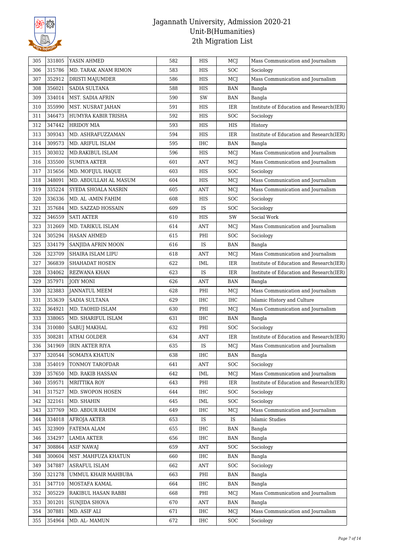

| 305 | 331805 | YASIN AHMED             | 582 | HIS        | MCJ        | Mass Communication and Journalism        |
|-----|--------|-------------------------|-----|------------|------------|------------------------------------------|
| 306 | 315786 | MD. TARAK ANAM RIMON    | 583 | HIS        | <b>SOC</b> | Sociology                                |
| 307 | 352912 | DRISTI MAJUMDER         | 586 | HIS        | MCJ        | Mass Communication and Journalism        |
| 308 | 356021 | SADIA SULTANA           | 588 | HIS        | BAN        | Bangla                                   |
| 309 | 334014 | <b>MST. SADIA AFRIN</b> | 590 | SW         | <b>BAN</b> | Bangla                                   |
| 310 | 355990 | MST. NUSRAT JAHAN       | 591 | HIS        | <b>IER</b> | Institute of Education and Research(IER) |
| 311 | 346473 | HUMYRA KABIR TRISHA     | 592 | HIS        | <b>SOC</b> | Sociology                                |
| 312 | 347442 | <b>HRIDOY MIA</b>       | 593 | HIS        | HIS        | History                                  |
| 313 | 309343 | MD. ASHRAFUZZAMAN       | 594 | HIS        | IER        | Institute of Education and Research(IER) |
| 314 | 309573 | MD. ARIFUL ISLAM        | 595 | IHC        | <b>BAN</b> | Bangla                                   |
| 315 | 303032 | MD.RAKIBUL ISLAM        | 596 | HIS        | MCJ        | Mass Communication and Journalism        |
| 316 | 335500 | <b>SUMIYA AKTER</b>     | 601 | <b>ANT</b> | MCJ        | Mass Communication and Journalism        |
| 317 | 315656 | MD. MOFIJUL HAQUE       | 603 | HIS        | <b>SOC</b> | Sociology                                |
| 318 | 348091 | MD. ABDULLAH AL MASUM   | 604 | HIS        | MCJ        | Mass Communication and Journalism        |
| 319 | 335224 | SYEDA SHOALA NASRIN     | 605 | <b>ANT</b> | MCJ        | Mass Communication and Journalism        |
| 320 | 336336 | MD. AL -AMIN FAHIM      | 608 | HIS        | <b>SOC</b> | Sociology                                |
| 321 | 357684 | MD. SAZZAD HOSSAIN      | 609 | IS         | <b>SOC</b> | Sociology                                |
| 322 | 346559 | <b>SATI AKTER</b>       | 610 | HIS        | SW         | Social Work                              |
| 323 | 312669 | MD. TARIKUL ISLAM       | 614 | <b>ANT</b> | MCJ        | Mass Communication and Journalism        |
| 324 | 305294 | <b>HASAN AHMED</b>      | 615 | PHI        | <b>SOC</b> | Sociology                                |
| 325 | 334179 | SANJIDA AFRIN MOON      | 616 | IS         | <b>BAN</b> | Bangla                                   |
| 326 | 323709 | SHAIRA ISLAM LIPU       | 618 | <b>ANT</b> | MCJ        | Mass Communication and Journalism        |
| 327 | 366839 | SHAHADAT HOSEN          | 622 | IML        | IER        | Institute of Education and Research(IER) |
| 328 | 334062 | REZWANA KHAN            | 623 | IS         | IER        | Institute of Education and Research(IER) |
| 329 | 357971 | <b>JOIY MONI</b>        | 626 | ANT        | <b>BAN</b> | Bangla                                   |
| 330 | 323883 | <b>JANNATUL MEEM</b>    | 628 | PHI        | MCJ        | Mass Communication and Journalism        |
| 331 | 353639 | SADIA SULTANA           | 629 | IHC        | <b>IHC</b> | Islamic History and Culture              |
| 332 | 364921 | MD. TAOHID ISLAM        | 630 | PHI        | MCJ        | Mass Communication and Journalism        |
| 333 | 338065 | MD. SHARIFUL ISLAM      | 631 | IHC        | <b>BAN</b> | Bangla                                   |
| 334 | 310080 | SABUJ MAKHAL            | 632 | PHI        | <b>SOC</b> | Sociology                                |
| 335 | 308281 | <b>ATHAI GOLDER</b>     | 634 | <b>ANT</b> | <b>IER</b> | Institute of Education and Research(IER) |
| 336 | 341969 | <b>IRIN AKTER RIYA</b>  | 635 | IS         | MCJ        | Mass Communication and Journalism        |
| 337 | 320544 | SOMAIYA KHATUN          | 638 | IHC        | <b>BAN</b> | Bangla                                   |
| 338 | 354019 | TONMOY TAROFDAR         | 641 | <b>ANT</b> | SOC        | Sociology                                |
| 339 | 357650 | MD. RAKIB HASSAN        | 642 | IML        | MCJ        | Mass Communication and Journalism        |
| 340 | 359571 | <b>MRITTIKA ROY</b>     | 643 | PHI        | IER        | Institute of Education and Research(IER) |
| 341 | 317527 | MD. SWOPON HOSEN        | 644 | IHC        | SOC        | Sociology                                |
| 342 | 322161 | MD. SHAHIN              | 645 | IML        | <b>SOC</b> | Sociology                                |
| 343 | 337769 | MD. ABDUR RAHIM         | 649 | IHC        | MCJ        | Mass Communication and Journalism        |
| 344 | 334018 | <b>AFROJA AKTER</b>     | 653 | IS         | IS         | <b>Islamic Studies</b>                   |
| 345 | 323909 | FATEMA ALAM             | 655 | IHC        | <b>BAN</b> | Bangla                                   |
| 346 | 334297 | <b>LAMIA AKTER</b>      | 656 | IHC        | <b>BAN</b> | Bangla                                   |
| 347 | 308864 | <b>ASIF NAWAJ</b>       | 659 | ANT        | <b>SOC</b> | Sociology                                |
| 348 | 300604 | MST .MAHFUZA KHATUN     | 660 | IHC        | <b>BAN</b> | Bangla                                   |
| 349 | 347887 | ASRAFUL ISLAM           | 662 | ANT        | <b>SOC</b> | Sociology                                |
| 350 | 321278 | UMMUL KHAIR MAHBUBA     | 663 | PHI        | <b>BAN</b> | Bangla                                   |
| 351 | 347710 | MOSTAFA KAMAL           | 664 | IHC        | <b>BAN</b> | Bangla                                   |
| 352 | 305229 | RAKIBUL HASAN RABBI     | 668 | PHI        | MCJ        | Mass Communication and Journalism        |
| 353 | 301201 | <b>SUNJIDA SHOVA</b>    | 670 | <b>ANT</b> | <b>BAN</b> | Bangla                                   |
| 354 | 307881 | MD. ASIF ALI            | 671 | IHC        | MCJ        | Mass Communication and Journalism        |
| 355 | 354964 | MD. AL-MAMUN            | 672 | IHC        | <b>SOC</b> | Sociology                                |
|     |        |                         |     |            |            |                                          |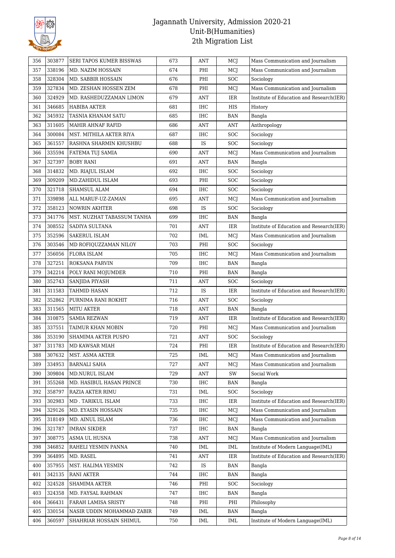

| 356 | 303877 | <b>SERI TAPOS KUMER BISSWAS</b> | 673 | <b>ANT</b> | MCJ        | Mass Communication and Journalism        |
|-----|--------|---------------------------------|-----|------------|------------|------------------------------------------|
| 357 | 338196 | MD. NAZIM HOSSAIN               | 674 | PHI        | MCJ        | Mass Communication and Journalism        |
| 358 | 328304 | MD. SABBIR HOSSAIN              | 676 | PHI        | SOC        | Sociology                                |
| 359 | 327834 | MD. ZESHAN HOSSEN ZEM           | 678 | PHI        | MCJ        | Mass Communication and Journalism        |
| 360 | 324929 | MD. RASHEDUZZAMAN LIMON         | 679 | <b>ANT</b> | IER        | Institute of Education and Research(IER) |
| 361 | 346685 | <b>HABIBA AKTER</b>             | 681 | IHC        | <b>HIS</b> | History                                  |
| 362 | 345932 | TASNIA KHANAM SATU              | 685 | IHC        | <b>BAN</b> | Bangla                                   |
| 363 | 311605 | MAHIR AHNAF RAFID               | 686 | <b>ANT</b> | <b>ANT</b> | Anthropology                             |
| 364 | 300084 | MST. MITHILA AKTER RIYA         | 687 | IHC        | <b>SOC</b> | Sociology                                |
| 365 | 361557 | RASHNA SHARMIN KHUSHBU          | 688 | IS         | <b>SOC</b> | Sociology                                |
| 366 | 335594 | FATEMA TUJ SAMIA                | 690 | <b>ANT</b> | MCJ        | Mass Communication and Journalism        |
| 367 | 327397 | <b>BOBY RANI</b>                | 691 | <b>ANT</b> | <b>BAN</b> | Bangla                                   |
| 368 | 314832 | MD. RIAJUL ISLAM                | 692 | IHC        | <b>SOC</b> | Sociology                                |
| 369 | 309209 | MD.ZAHIDUL ISLAM                | 693 | PHI        | <b>SOC</b> | Sociology                                |
| 370 | 321718 | SHAMSUL ALAM                    | 694 | IHC        | <b>SOC</b> | Sociology                                |
| 371 | 339898 | ALL MARUF-UZ-ZAMAN              | 695 | ANT        | MCJ        | Mass Communication and Journalism        |
| 372 | 358123 | <b>NOWRIN AKHTER</b>            | 698 | IS         | <b>SOC</b> | Sociology                                |
| 373 | 341776 | MST. NUZHAT TABASSUM TANHA      | 699 | IHC        | <b>BAN</b> | Bangla                                   |
| 374 | 308552 | SADIYA SULTANA                  | 701 | <b>ANT</b> | <b>IER</b> | Institute of Education and Research(IER) |
| 375 | 352596 | <b>SAKERUL ISLAM</b>            | 702 | IML        | MCJ        | Mass Communication and Journalism        |
| 376 | 303546 | MD ROFIQUZZAMAN NILOY           | 703 | PHI        | <b>SOC</b> | Sociology                                |
| 377 | 356056 | <b>FLORA ISLAM</b>              | 705 | IHC        | MCJ        | Mass Communication and Journalism        |
| 378 | 327251 | ROKSANA PARVIN                  | 709 | IHC        | <b>BAN</b> | Bangla                                   |
| 379 | 342214 | POLY RANI MOJUMDER              | 710 | PHI        | <b>BAN</b> | Bangla                                   |
| 380 | 352743 | SANJIDA PIYASH                  | 711 | <b>ANT</b> | SOC        | Sociology                                |
| 381 | 311583 | TAHMID HASAN                    | 712 | IS         | <b>IER</b> | Institute of Education and Research(IER) |
| 382 | 352862 | PURNIMA RANI ROKHIT             | 716 | <b>ANT</b> | SOC        | Sociology                                |
| 383 | 311565 | <b>MITU AKTER</b>               | 718 | <b>ANT</b> | <b>BAN</b> | Bangla                                   |
| 384 | 310875 | <b>SAMIA REZWAN</b>             | 719 | <b>ANT</b> | <b>IER</b> | Institute of Education and Research(IER) |
| 385 | 337551 | TAIMUR KHAN MOBIN               | 720 | PHI        | MCJ        | Mass Communication and Journalism        |
| 386 | 353190 | SHAMIMA AKTER PUSPO             | 721 | <b>ANT</b> | <b>SOC</b> | Sociology                                |
| 387 | 311783 | MD KAWSAR MIAH                  | 724 | PHI        | <b>IER</b> | Institute of Education and Research(IER) |
| 388 | 307632 | MST. ASMA AKTER                 | 725 | IML        | MCJ        | Mass Communication and Journalism        |
| 389 | 334953 | <b>BARNALI SAHA</b>             | 727 | <b>ANT</b> | MCJ        | Mass Communication and Journalism        |
| 390 | 309804 | MD.NURUL ISLAM                  | 729 | <b>ANT</b> | SW         | Social Work                              |
| 391 | 355268 | MD. HASIBUL HASAN PRINCE        | 730 | IHC        | BAN        | Bangla                                   |
| 392 | 358797 | RAZIA AKTER RIMU                | 731 | IML        | SOC        | Sociology                                |
| 393 | 302983 | MD . TARIKUL ISLAM              | 733 | IHC        | IER        | Institute of Education and Research(IER) |
| 394 | 329126 | MD. EYASIN HOSSAIN              | 735 | IHC        | MCJ        | Mass Communication and Journalism        |
| 395 | 318149 | MD. AINUL ISLAM                 | 736 | IHC        | MCJ        | Mass Communication and Journalism        |
| 396 | 321787 | <b>IMRAN SIKDER</b>             | 737 | IHC        | <b>BAN</b> | Bangla                                   |
| 397 | 308775 | ASMA UL HUSNA                   | 738 | <b>ANT</b> | MCJ        | Mass Communication and Journalism        |
| 398 | 346852 | RAHELI YESMIN PANNA             | 740 | IML        | IML        | Institute of Modern Language(IML)        |
| 399 | 364895 | MD. RASEL                       | 741 | ANT        | IER        | Institute of Education and Research(IER) |
| 400 | 357955 | MST. HALIMA YESMIN              | 742 | IS         | <b>BAN</b> | Bangla                                   |
| 401 | 342135 | <b>RANI AKTER</b>               | 744 | IHC        | BAN        | Bangla                                   |
| 402 | 324528 | <b>SHAMIMA AKTER</b>            | 746 | PHI        | <b>SOC</b> | Sociology                                |
| 403 | 324358 | MD. FAYSAL RAHMAN               | 747 | IHC        | <b>BAN</b> | Bangla                                   |
| 404 | 366431 | FARAH LAMISA SRISTY             | 748 | PHI        | PHI        | Philosophy                               |
|     | 330154 | NASIR UDDIN MOHAMMAD ZABIR      | 749 |            | <b>BAN</b> | Bangla                                   |
| 405 |        |                                 |     | IML        |            |                                          |
| 406 | 360597 | SHAHRIAR HOSSAIN SHIMUL         | 750 | IML        | IML        | Institute of Modern Language(IML)        |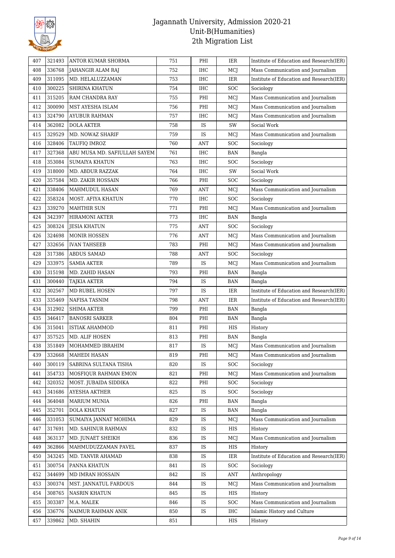

| 407 | 321493 | ANTOR KUMAR SHORMA           | 751 | PHI        | IER        | Institute of Education and Research(IER) |
|-----|--------|------------------------------|-----|------------|------------|------------------------------------------|
| 408 | 336768 | JAHANGIR ALAM RAJ            | 752 | IHC        | MCJ        | Mass Communication and Journalism        |
| 409 | 311095 | MD. HELALUZZAMAN             | 753 | IHC        | IER        | Institute of Education and Research(IER) |
| 410 | 300225 | SHIRINA KHATUN               | 754 | IHC        | <b>SOC</b> | Sociology                                |
| 411 | 315205 | RAM CHANDRA RAY              | 755 | PHI        | MCJ        | Mass Communication and Journalism        |
| 412 | 300090 | MST AYESHA ISLAM             | 756 | PHI        | MCJ        | Mass Communication and Journalism        |
| 413 | 324790 | <b>AYUBUR RAHMAN</b>         | 757 | IHC        | MCJ        | Mass Communication and Journalism        |
| 414 | 362082 | <b>DOLA AKTER</b>            | 758 | IS         | SW         | Social Work                              |
| 415 | 329529 | MD. NOWAZ SHARIF             | 759 | IS         | MCJ        | Mass Communication and Journalism        |
| 416 | 328406 | TAUFIQ IMROZ                 | 760 | ANT        | <b>SOC</b> | Sociology                                |
| 417 | 327368 | ABU MUSA MD. SAFIULLAH SAYEM | 761 | IHC        | <b>BAN</b> | Bangla                                   |
| 418 | 353084 | <b>SUMAIYA KHATUN</b>        | 763 | IHC        | <b>SOC</b> | Sociology                                |
| 419 | 318000 | <b>MD. ABDUR RAZZAK</b>      | 764 | IHC        | SW         | Social Work                              |
| 420 | 357584 | MD. ZAKIR HOSSAIN            | 766 | PHI        | <b>SOC</b> | Sociology                                |
| 421 | 338406 | MAHMUDUL HASAN               | 769 | ANT        | MCJ        | Mass Communication and Journalism        |
| 422 | 358324 | MOST. AFIYA KHATUN           | 770 | IHC        | SOC        | Sociology                                |
| 423 | 339270 | <b>MAHTHIR SUN</b>           | 771 | PHI        | MCJ        | Mass Communication and Journalism        |
| 424 | 342397 | <b>HIRAMONI AKTER</b>        | 773 | IHC        | <b>BAN</b> | Bangla                                   |
| 425 | 308324 | <b>JESIA KHATUN</b>          | 775 | <b>ANT</b> | <b>SOC</b> | Sociology                                |
| 426 | 324698 | <b>MONIR HOSSEN</b>          | 776 | <b>ANT</b> | MCJ        | Mass Communication and Journalism        |
| 427 | 332656 | <b>IVAN TAHSEEB</b>          | 783 | PHI        | MCJ        | Mass Communication and Journalism        |
| 428 | 317386 | ABDUS SAMAD                  | 788 | <b>ANT</b> | <b>SOC</b> | Sociology                                |
| 429 | 333975 | <b>SAMIA AKTER</b>           | 789 | IS         | MCJ        | Mass Communication and Journalism        |
| 430 | 315198 | MD. ZAHID HASAN              | 793 | PHI        | <b>BAN</b> | Bangla                                   |
| 431 | 300440 | <b>TAJKIA AKTER</b>          | 794 | IS         | <b>BAN</b> | Bangla                                   |
| 432 | 302567 | MD RUBEL HOSEN               | 797 | IS         | <b>IER</b> | Institute of Education and Research(IER) |
| 433 | 335469 | NAFISA TASNIM                | 798 | ANT        | IER        | Institute of Education and Research(IER) |
| 434 | 312902 | <b>SHIMA AKTER</b>           | 799 | PHI        | <b>BAN</b> | Bangla                                   |
| 435 | 346417 | <b>BANOSRI SARKER</b>        | 804 | PHI        | <b>BAN</b> | Bangla                                   |
| 436 | 315041 | <b>ISTIAK AHAMMOD</b>        | 811 | PHI        | HIS        | History                                  |
| 437 | 357525 | MD. ALIF HOSEN               | 813 | PHI        | <b>BAN</b> | Bangla                                   |
| 438 | 351849 | MOHAMMED IBRAHIM             | 817 | IS         | MCJ        | Mass Communication and Journalism        |
| 439 | 332668 | <b>MAHEDI HASAN</b>          | 819 | PHI        | MCJ        | Mass Communication and Journalism        |
| 440 | 300119 | SABRINA SULTANA TISHA        | 820 | IS         | SOC        | Sociology                                |
| 441 | 354733 | MOSFIQUR RAHMAN EMON         | 821 | PHI        | MCJ        | Mass Communication and Journalism        |
| 442 | 320352 | MOST. JUBAIDA SIDDIKA        | 822 | PHI        | <b>SOC</b> | Sociology                                |
| 443 | 341686 | AYESHA AKTHER                | 825 | IS         | SOC        | Sociology                                |
| 444 | 364048 | MARIUM MUNIA                 | 826 | PHI        | BAN        | Bangla                                   |
| 445 | 352701 | <b>DOLA KHATUN</b>           | 827 | IS         | <b>BAN</b> | Bangla                                   |
| 446 | 331053 | SUMAIYA JANNAT MOHIMA        | 829 | IS         | MCJ        | Mass Communication and Journalism        |
| 447 | 317691 | MD. SAHINUR RAHMAN           | 832 | IS         | HIS        | History                                  |
| 448 | 363137 | MD. JUNAET SHEIKH            | 836 | IS         | MCJ        | Mass Communication and Journalism        |
| 449 | 362866 | MAHMUDUZZAMAN PAVEL          | 837 | IS         | HIS        | History                                  |
| 450 | 343245 | MD. TANVIR AHAMAD            | 838 | IS         | IER        | Institute of Education and Research(IER) |
| 451 | 300754 | PANNA KHATUN                 | 841 | IS         | <b>SOC</b> | Sociology                                |
| 452 | 344699 | MD IMRAN HOSSAIN             | 842 | IS         | ANT        | Anthropology                             |
| 453 | 300374 | MST. JANNATUL FARDOUS        | 844 | IS         | MCJ        | Mass Communication and Journalism        |
| 454 | 308765 | <b>NASRIN KHATUN</b>         | 845 | IS         | HIS        | History                                  |
| 455 | 303387 | M.A. MALEK                   | 846 | IS         | <b>SOC</b> | Mass Communication and Journalism        |
| 456 | 336776 | NAIMUR RAHMAN ANIK           | 850 | IS         | <b>IHC</b> | Islamic History and Culture              |
| 457 | 339862 | MD. SHAHIN                   | 851 |            | HIS        | History                                  |
|     |        |                              |     |            |            |                                          |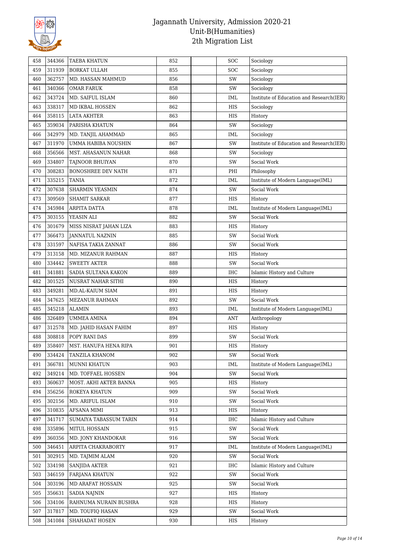

| 458 | 344366 | <b>TAEBA KHATUN</b>               | 852        | <b>SOC</b> | Sociology                                |
|-----|--------|-----------------------------------|------------|------------|------------------------------------------|
| 459 | 311939 | <b>BORKAT ULLAH</b>               | 855        | <b>SOC</b> | Sociology                                |
| 460 | 362757 | MD. HASSAN MAHMUD                 | 856        | SW         | Sociology                                |
| 461 | 340366 | <b>OMAR FARUK</b>                 | 858        | SW         | Sociology                                |
| 462 | 343724 | MD. SAIFUL ISLAM                  | 860        | IML        | Institute of Education and Research(IER) |
| 463 | 338317 | MD IKBAL HOSSEN                   | 862        | <b>HIS</b> | Sociology                                |
| 464 | 358115 | <b>LATA AKHTER</b>                | 863        | HIS        | History                                  |
| 465 | 359034 | PARISHA KHATUN                    | 864        | SW         | Sociology                                |
| 466 | 342979 | MD. TANJIL AHAMMAD                | 865        | IML        | Sociology                                |
| 467 | 311970 | UMMA HABIBA NOUSHIN               | 867        | SW         | Institute of Education and Research(IER) |
| 468 | 356566 | MST. AHASANUN NAHAR               | 868        | SW         | Sociology                                |
| 469 | 334807 | TAJNOOR BHUIYAN                   | 870        | SW         | Social Work                              |
| 470 | 308283 | <b>BONOSHREE DEV NATH</b>         | 871        | PHI        | Philosophy                               |
| 471 | 335215 | <b>TANIA</b>                      | 872        | <b>IML</b> | Institute of Modern Language(IML)        |
| 472 | 307638 | <b>SHARMIN YEASMIN</b>            | 874        | SW         | Social Work                              |
| 473 | 309569 | <b>SHAMIT SARKAR</b>              | 877        | HIS        | History                                  |
| 474 | 345984 | ARPITA DATTA                      | 878        | <b>IML</b> | Institute of Modern Language(IML)        |
| 475 | 303155 | YEASIN ALI                        | 882        | SW         | Social Work                              |
| 476 | 301679 | MISS NISRAT JAHAN LIZA            | 883        | HIS        | History                                  |
| 477 | 366473 | <b>JANNATUL NAZNIN</b>            | 885        | SW         | Social Work                              |
| 478 | 331597 | NAFISA TAKIA ZANNAT               | 886        | SW         | Social Work                              |
| 479 | 313158 | MD. MIZANUR RAHMAN                | 887        | HIS        | History                                  |
| 480 | 334442 | <b>SWEETY AKTER</b>               | 888        | SW         | Social Work                              |
| 481 | 341881 | SADIA SULTANA KAKON               | 889        | <b>IHC</b> | Islamic History and Culture              |
| 482 | 301525 | NUSRAT NAHAR SITHI                | 890        | <b>HIS</b> | History                                  |
| 483 | 349281 | MD.AL-KAIUM SIAM                  | 891        | <b>HIS</b> | History                                  |
| 484 | 347625 | MEZANUR RAHMAN                    | 892        | SW         | Social Work                              |
| 485 | 345218 | <b>ALAMIN</b>                     | 893        | IML        | Institute of Modern Language(IML)        |
| 486 | 326489 | <b>UMMEA AMINA</b>                | 894        | <b>ANT</b> | Anthropology                             |
| 487 | 312578 | MD. JAHID HASAN FAHIM             | 897        | HIS        | History                                  |
| 488 | 308818 | POPY RANI DAS                     | 899        | SW         | Social Work                              |
| 489 | 358407 | MST. HANUFA HENA RIPA             | 901        | HIS        |                                          |
| 490 | 334424 | TANZILA KHANOM                    | 902        | SW         | History<br>Social Work                   |
| 491 | 366781 | MUNNI KHATUN                      | 903        |            | Institute of Modern Language(IML)        |
|     |        |                                   | 904        | IML<br>SW  | Social Work                              |
| 492 | 349214 | MD. TOFFAEL HOSSEN                |            |            |                                          |
| 493 | 360637 | MOST. AKHI AKTER BANNA            | 905<br>909 | HIS        | History                                  |
| 494 | 356256 | ROKEYA KHATUN<br>MD. ARIFUL ISLAM |            | SW         | Social Work                              |
| 495 | 302156 |                                   | 910        | SW         | Social Work                              |
| 496 | 310835 | <b>AFSANA MIMI</b>                | 913        | HIS        | History                                  |
| 497 | 341717 | SUMAIYA TABASSUM TARIN            | 914<br>915 | IHC<br>SW  | Islamic History and Culture              |
| 498 | 335896 | <b>MITUL HOSSAIN</b>              |            |            | Social Work                              |
| 499 | 360356 | MD. JONY KHANDOKAR                | 916        | SW         | Social Work                              |
| 500 | 346451 | ARPITA CHAKRABORTY                | 917        | <b>IML</b> | Institute of Modern Language(IML)        |
| 501 | 302915 | MD. TAJMIM ALAM                   | 920        | SW         | Social Work                              |
| 502 | 334198 | <b>SANJIDA AKTER</b>              | 921        | IHC        | Islamic History and Culture              |
| 503 | 346159 | <b>FARJANA KHATUN</b>             | 922        | SW         | Social Work                              |
| 504 | 303196 | MD ARAFAT HOSSAIN                 | 925        | SW         | Social Work                              |
| 505 | 356631 | <b>SADIA NAJNIN</b>               | 927        | HIS        | History                                  |
| 506 | 334106 | RAHNUMA NURAIN BUSHRA             | 928        | HIS        | History                                  |
| 507 | 317817 | MD. TOUFIQ HASAN                  | 929        | SW         | Social Work                              |
| 508 | 341084 | SHAHADAT HOSEN                    | 930        | HIS        | History                                  |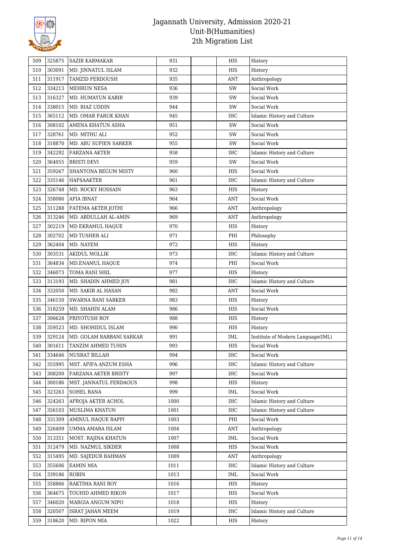

| 509        | 325875 | <b>SAZIB KARMAKAR</b>                  | 931  | HIS               | History                                     |
|------------|--------|----------------------------------------|------|-------------------|---------------------------------------------|
| 510        | 303091 | MD. JINNATUL ISLAM                     | 932  | HIS               | History                                     |
| 511        | 311917 | <b>TAMZID FERDOUSH</b>                 | 935  | <b>ANT</b>        | Anthropology                                |
| 512        | 334213 | <b>MEHRUN NESA</b>                     | 936  | SW                | Social Work                                 |
| 513        | 316327 | MD. HUMAYUN KABIR                      | 939  | SW                | Social Work                                 |
| 514        | 338015 | MD. RIAZ UDDIN                         | 944  | SW                | Social Work                                 |
| 515        | 365112 | MD. OMAR FARUK KHAN                    | 945  | IHC               | Islamic History and Culture                 |
| 516        | 308102 | AMENA KHATUN ASHA                      | 951  | SW                | Social Work                                 |
| 517        | 328761 | MD. MITHU ALI                          | 952  | SW                | Social Work                                 |
| 518        | 318870 | MD. ABU SUFIEN SARKER                  | 955  | SW                | Social Work                                 |
| 519        | 342292 | <b>FARZANA AKTER</b>                   | 958  | IHC               | Islamic History and Culture                 |
| 520        | 364055 | <b>BRISTI DEVI</b>                     | 959  | SW                | Social Work                                 |
| 521        | 359267 | <b>SHANTONA BEGUM MISTY</b>            | 960  | HIS               | Social Work                                 |
| 522        | 335146 | <b>HAFSAAKTER</b>                      | 961  | <b>IHC</b>        | Islamic History and Culture                 |
| 523        | 326748 | <b>MD. ROCKY HOSSAIN</b>               | 963  | HIS               | History                                     |
| 524        | 358086 | <b>AFIA IBNAT</b>                      | 964  | ANT               | Social Work                                 |
| 525        | 311288 | FATEMA AKTER JOTHI                     | 966  | <b>ANT</b>        | Anthropology                                |
| 526        | 313246 | MD. ABDULLAH AL-AMIN                   | 969  | <b>ANT</b>        | Anthropology                                |
| 527        | 302219 | MD EKRAMUL HAQUE                       | 970  | HIS               | History                                     |
| 528        | 302702 | MD TUSHER ALI                          | 971  | PHI               | Philosophy                                  |
| 529        | 362404 | MD. NAYEM                              | 972  | HIS               | History                                     |
| 530        | 303531 | <b>AKIDUL MOLLIK</b>                   | 973  | IHC               | Islamic History and Culture                 |
| 531        | 364834 | MD.ENAMUL HAQUE                        | 974  | PHI               | Social Work                                 |
| 532        | 346073 | TOMA RANI SHIL                         | 977  | HIS               | History                                     |
| 533        | 313193 | MD. SHADIN AHMED JOY                   | 981  | <b>IHC</b>        | Islamic History and Culture                 |
| 534        | 332050 | MD. SAKIB AL HASAN                     | 982  | <b>ANT</b>        | Social Work                                 |
| 535        | 346150 | SWARNA RANI SARKER                     | 983  | HIS               | History                                     |
| 536        | 318259 | MD. SHAHIN ALAM                        | 986  | HIS               | Social Work                                 |
| 537        | 306628 | PRIYOTUSH ROY                          | 988  | HIS               | History                                     |
| 538        | 359523 | MD. SHOHIDUL ISLAM                     | 990  | HIS               | History                                     |
| 539        | 329124 | MD. GOLAM RABBANI SARKAR               | 991  | IML               | Institute of Modern Language(IML)           |
| 540        | 301611 | TANZIM AHMED TUHIN                     | 993  | HIS               | Social Work                                 |
| 541        | 334646 | NUSRAT BILLAH                          | 994  | IHC               | Social Work                                 |
| 542        | 355995 | MST. AFIFA ANZUM ESHA                  | 996  | $\rm IHC$         | Islamic History and Culture                 |
| 543        | 308200 | FARZANA AKTER BRISTY                   | 997  | <b>IHC</b>        | Social Work                                 |
| 544        | 300186 | MST. JANNATUL FERDAOUS                 | 998  | HIS               | History                                     |
| 545        | 323263 | <b>SOHEL RANA</b>                      | 999  | IML               | Social Work                                 |
| 546        | 324263 | AFROJA AKTER ACHOL                     | 1000 | <b>IHC</b>        | Islamic History and Culture                 |
| 547        | 356103 | <b>MUSLIMA KHATUN</b>                  | 1001 | <b>IHC</b>        | Islamic History and Culture                 |
| 548        | 331309 | AMINUL HAQUE BAPPI                     | 1003 | PHI               | Social Work                                 |
| 549        | 326409 | UMMA AMARA ISLAM                       | 1004 | <b>ANT</b>        | Anthropology                                |
| 550        | 313351 | MOST. RAJINA KHATUN                    | 1007 | <b>IML</b>        | Social Work                                 |
|            | 312479 |                                        | 1008 | HIS               | Social Work                                 |
| 551        | 315495 | MD. NAZMUL SIKDER                      | 1009 |                   |                                             |
| 552<br>553 | 355606 | MD. SAJEDUR RAHMAN<br><b>EAMIN MIA</b> | 1011 | ANT<br><b>IHC</b> | Anthropology<br>Islamic History and Culture |
| 554        | 339186 | <b>ROBIN</b>                           | 1013 | IML               | Social Work                                 |
|            |        |                                        |      |                   |                                             |
| 555        | 358866 | RAKTIMA RANI ROY                       | 1016 | HIS               | History                                     |
| 556        | 364675 | TOUHID AHMED RIKON                     | 1017 | HIS               | Social Work                                 |
| 557        | 346020 | MARGIA ANGUM NIPO                      | 1018 | HIS               | History                                     |
| 558        | 320507 | <b>ISRAT JAHAN MEEM</b>                | 1019 | IHC               | Islamic History and Culture                 |
| 559        | 318620 | MD. RIPON MIA                          | 1022 | HIS               | History                                     |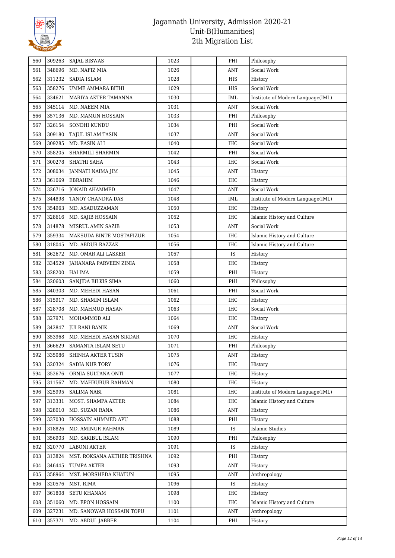

| 560        | 309263           | <b>SAJAL BISWAS</b>                         | 1023         | PHI                      | Philosophy                        |
|------------|------------------|---------------------------------------------|--------------|--------------------------|-----------------------------------|
| 561        | 348696           | MD. NAFIZ MIA                               | 1026         | <b>ANT</b>               | Social Work                       |
| 562        | 311232           | SADIA ISLAM                                 | 1028         | HIS                      | History                           |
| 563        | 358276           | UMME AMMARA BITHI                           | 1029         | HIS                      | Social Work                       |
| 564        | 334621           | MARIYA AKTER TAMANNA                        | 1030         | IML                      | Institute of Modern Language(IML) |
| 565        | 345114           | MD. NAEEM MIA                               | 1031         | <b>ANT</b>               | Social Work                       |
| 566        | 357136           | MD. MAMUN HOSSAIN                           | 1033         | PHI                      | Philosophy                        |
| 567        | 326154           | SONDHI KUNDU                                | 1034         | PHI                      | Social Work                       |
| 568        | 309180           | <b>TAJUL ISLAM TASIN</b>                    | 1037         | <b>ANT</b>               | Social Work                       |
| 569        | 309285           | MD. EASIN ALI                               | 1040         | <b>IHC</b>               | Social Work                       |
| 570        | 358205           | SHARMILI SHARMIN                            | 1042         | PHI                      | Social Work                       |
| 571        | 300278           | SHATHI SAHA                                 | 1043         | <b>IHC</b>               | Social Work                       |
| 572        | 308034           | JANNATI NAIMA JIM                           | 1045         | <b>ANT</b>               | History                           |
| 573        | 361069           | <b>EBRAHIM</b>                              | 1046         | <b>IHC</b>               | History                           |
| 574        | 336716           | <b>JONAID AHAMMED</b>                       | 1047         | <b>ANT</b>               | Social Work                       |
| 575        | 344898           | TANOY CHANDRA DAS                           | 1048         | IML                      | Institute of Modern Language(IML) |
| 576        | 354963           | MD. ASADUZZAMAN                             | 1050         | <b>IHC</b>               | History                           |
| 577        | 328616           | MD. SAJIB HOSSAIN                           | 1052         | <b>IHC</b>               | Islamic History and Culture       |
| 578        | 314878           | MISRUL AMIN SAZIB                           | 1053         | <b>ANT</b>               | Social Work                       |
| 579        | 359334           | MAKSUDA BINTE MOSTAFIZUR                    | 1054         | <b>IHC</b>               | Islamic History and Culture       |
| 580        | 318045           | MD. ABDUR RAZZAK                            | 1056         | <b>IHC</b>               | Islamic History and Culture       |
| 581        | 362672           | MD. OMAR ALI LASKER                         | 1057         | IS                       | History                           |
| 582        | 334529           | JAHANARA PARVEEN ZINIA                      | 1058         | IHC                      | History                           |
| 583        | 328200           | <b>HALIMA</b>                               | 1059         | PHI                      | History                           |
| 584        | 320603           | SANJIDA BILKIS SIMA                         | 1060         | PHI                      | Philosophy                        |
| 585        | 340303           | MD. MEHEDI HASAN                            | 1061         | PHI                      | Social Work                       |
| 586        | 315917           | MD. SHAMIM ISLAM                            | 1062         | <b>IHC</b>               | History                           |
| 587        | 328708           | MD. MAHMUD HASAN                            | 1063         | <b>IHC</b>               | Social Work                       |
| 588        | 327971           | MOHAMMOD ALI                                | 1064         | <b>IHC</b>               | History                           |
| 589        | 342847           | <b>JUI RANI BANIK</b>                       | 1069         | <b>ANT</b>               | Social Work                       |
| 590        | 353968           | MD. MEHEDI HASAN SIKDAR                     | 1070         | <b>IHC</b>               | History                           |
| 591        | 366629           | SAMANTA ISLAM SETU                          | 1071         | PHI                      | Philosophy                        |
|            |                  |                                             |              |                          |                                   |
| 592<br>593 | 335086<br>320324 | SHINHA AKTER TUSIN<br><b>SADIA NUR TORY</b> | 1075<br>1076 | <b>ANT</b><br><b>IHC</b> | History<br>History                |
| 594        | 352676           | ORNIA SULTANA ONTI                          | 1077         | IHC                      | History                           |
|            | 311567           | MD. MAHBUBUR RAHMAN                         | 1080         | IHC                      | History                           |
| 595<br>596 | 325995           | <b>SALIMA NABI</b>                          | 1081         | IHC                      | Institute of Modern Language(IML) |
| 597        | 313331           | MOST. SHAMPA AKTER                          | 1084         | $\rm IHC$                | Islamic History and Culture       |
| 598        | 328010           | MD. SUZAN RANA                              | 1086         | <b>ANT</b>               | History                           |
| 599        | 337030           | HOSSAIN AHMMED APU                          | 1088         | PHI                      | History                           |
| 600        | 318826           | MD. AMINUR RAHMAN                           | 1089         | IS                       | Islamic Studies                   |
| 601        | 356903           | MD. SAKIBUL ISLAM                           | 1090         | PHI                      | Philosophy                        |
| 602        | 320770           | <b>LABONI AKTER</b>                         | 1091         | IS                       | History                           |
| 603        | 313824           | MST. ROKSANA AKTHER TRISHNA                 | 1092         | PHI                      | History                           |
| 604        | 346445           |                                             | 1093         |                          |                                   |
| 605        | 358964           | TUMPA AKTER                                 | 1095         | ANT<br><b>ANT</b>        | History                           |
|            | 320576           | MST. MORSHEDA KHATUN<br>MST. RIMA           | 1096         | IS                       | Anthropology<br>History           |
| 606        |                  |                                             |              |                          |                                   |
| 607        | 361808           | <b>SETU KHANAM</b>                          | 1098         | IHC                      | History                           |
| 608        | 351060           | MD. EPON HOSSAIN                            | 1100         | IHC                      | Islamic History and Culture       |
| 609        | 327231           | MD. SANOWAR HOSSAIN TOPU                    | 1101         | <b>ANT</b>               | Anthropology                      |
| 610        | 357371           | MD. ABDUL JABBER                            | 1104         | PHI                      | History                           |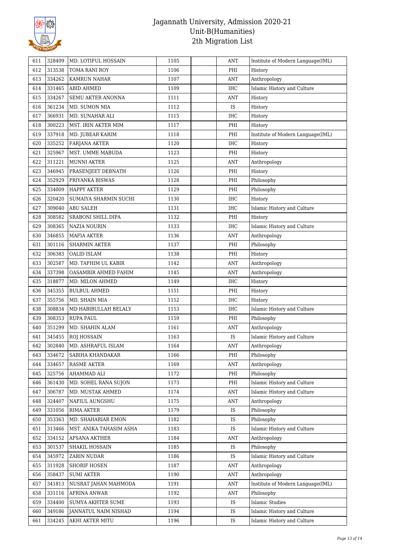

| 611 | 328409 | MD. LOTIFUL HOSSAIN     | 1105 | <b>ANT</b> | Institute of Modern Language(IML) |
|-----|--------|-------------------------|------|------------|-----------------------------------|
| 612 | 313538 | TOMA RANI ROY           | 1106 | PHI        | History                           |
| 613 | 334262 | KAMRUN NAHAR            | 1107 | <b>ANT</b> | Anthropology                      |
| 614 | 331465 | <b>ABID AHMED</b>       | 1109 | <b>IHC</b> | Islamic History and Culture       |
| 615 | 334267 | SEMU AKTER ANONNA       | 1111 | <b>ANT</b> | History                           |
| 616 | 361234 | MD. SUMON MIA           | 1112 | IS         | History                           |
| 617 | 366931 | MD. SUNAHAR ALI         | 1115 | <b>IHC</b> | History                           |
| 618 | 300223 | MST. IRIN AKTER MIM     | 1117 | PHI        | History                           |
| 619 | 337918 | MD. JUBEAR KARIM        | 1118 | PHI        | Institute of Modern Language(IML) |
| 620 | 335252 | <b>FARJANA AKTER</b>    | 1120 | IHC        | History                           |
| 621 | 325967 | MST. UMME MABUDA        | 1123 | PHI        | History                           |
| 622 | 311221 | <b>MUNNI AKTER</b>      | 1125 | <b>ANT</b> | Anthropology                      |
| 623 | 346945 | PRASENJEET DEBNATH      | 1126 | PHI        | History                           |
| 624 | 352929 | PRIYANKA BISWAS         | 1128 | PHI        | Philosophy                        |
| 625 | 334009 | <b>HAPPY AKTER</b>      | 1129 | PHI        | Philosophy                        |
| 626 | 320420 | SUMAIYA SHARMIN SUCHI   | 1130 | <b>IHC</b> | History                           |
| 627 | 309040 | <b>ABU SALEH</b>        | 1131 | <b>IHC</b> | Islamic History and Culture       |
| 628 | 308582 | SRABONI SHILL DIPA      | 1132 | PHI        | History                           |
| 629 | 308365 | <b>NAZIA NOURIN</b>     | 1133 | <b>IHC</b> | Islamic History and Culture       |
| 630 | 346855 | MAFIA AKTER             | 1136 | ANT        | Anthropology                      |
| 631 | 301116 | <b>SHARMIN AKTER</b>    | 1137 | PHI        | Philosophy                        |
| 632 | 306383 | <b>OALID ISLAM</b>      | 1138 | PHI        | History                           |
| 633 | 302587 | MD. TAFHIM UL KABIR     | 1142 | <b>ANT</b> | Anthropology                      |
| 634 | 337398 | OASAMBIR AHMED FAHIM    | 1145 | <b>ANT</b> | Anthropology                      |
| 635 | 318877 | MD. MILON AHMED         | 1149 | <b>IHC</b> | History                           |
| 636 | 345355 | <b>BULBUL AHMED</b>     | 1151 | PHI        | History                           |
| 637 | 355756 | MD. SHAIN MIA           | 1152 | IHC        | History                           |
| 638 | 308834 | MD HABIBULLAH BELALY    | 1153 | IHC        | Islamic History and Culture       |
| 639 | 308353 | RUPA PAUL               | 1159 | PHI        | Philosophy                        |
| 640 | 351299 | MD. SHAHIN ALAM         | 1161 | <b>ANT</b> | Anthropology                      |
| 641 | 345455 | <b>ROJ HOSSAIN</b>      | 1163 | IS         | Islamic History and Culture       |
| 642 | 302840 | MD. ASHRAFUL ISLAM      | 1164 | <b>ANT</b> | Anthropology                      |
| 643 | 334672 | SABIHA KHANDAKAR        | 1166 | PHI        | Philosophy                        |
| 644 | 334657 | <b>RASME AKTER</b>      | 1169 | <b>ANT</b> | Anthropology                      |
| 645 | 325756 | AHAMMAD ALI             | 1172 | PHI        | Philosophy                        |
| 646 | 361430 | MD. SOHEL RANA SUJON    | 1173 | PHI        | Islamic History and Culture       |
| 647 | 306787 | MD. MUSTAK AHMED        | 1174 | <b>ANT</b> | Islamic History and Culture       |
| 648 | 324407 | NAFIUL AUNGSHU          | 1175 | <b>ANT</b> | Anthropology                      |
| 649 | 331056 | <b>RIMA AKTER</b>       | 1179 | IS         | Philosophy                        |
| 650 | 353363 | MD. SHAHARIAR EMON      | 1182 | IS         | Philosophy                        |
| 651 | 313466 | MST. ANIKA TAHASIM ASHA | 1183 | IS         | Islamic History and Culture       |
| 652 | 334152 | AFSANA AKTHER           | 1184 | <b>ANT</b> | Anthropology                      |
| 653 | 301537 | SHAKIL HOSSAIN          | 1185 | IS         | Philosophy                        |
| 654 | 345972 | ZARIN NUDAR             | 1186 | <b>IS</b>  | Islamic History and Culture       |
| 655 | 311928 | SHORIF HOSEN            | 1187 | <b>ANT</b> | Anthropology                      |
| 656 | 358437 | <b>SUMI AKTER</b>       | 1190 | <b>ANT</b> | Anthropology                      |
| 657 | 341813 | NUSRAT JAHAN MAHMODA    | 1191 | <b>ANT</b> | Institute of Modern Language(IML) |
| 658 | 331116 | AFRINA ANWAR            | 1192 | <b>ANT</b> | Philosophy                        |
| 659 | 334400 | SUMYA AKHTER SUME       | 1193 | IS         | <b>Islamic Studies</b>            |
| 660 | 349186 | JANNATUL NAIM NISHAD    | 1194 | IS         | Islamic History and Culture       |
| 661 | 334245 | AKHI AKTER MITU         | 1196 | IS         | Islamic History and Culture       |
|     |        |                         |      |            |                                   |